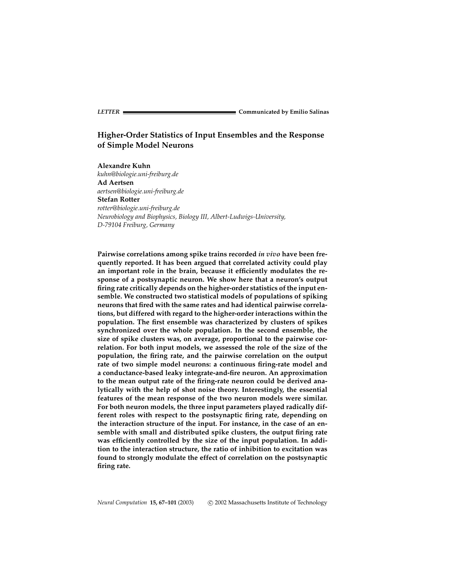# **Higher-Order Statistics of Input Ensembles and the Response of Simple Model Neurons**

**Alexandre Kuhn** *kuhn@biologie.uni-freiburg.de* **Ad Aertsen** *aertsen@biologie.uni-freiburg.de* **Stefan Rotter** *rotter@biologie.uni-freiburg.de Neurobiology and Biophysics, Biology III, Albert-Ludwigs-University, D-79104 Freiburg, Germany*

**Pairwise correlations among spike trains recorded** *in vivo* **have been frequently reported. It has been argued that correlated activity could play an important role in the brain, because it efficiently modulates the response of a postsynaptic neuron. We show here that a neuron's output firing rate critically depends on the higher-order statistics of the input ensemble. We constructed two statistical models of populations of spiking neurons that fired with the same rates and had identical pairwise correlations, but differed with regard to the higher-order interactions within the population. The first ensemble was characterized by clusters of spikes synchronized over the whole population. In the second ensemble, the size of spike clusters was, on average, proportional to the pairwise correlation. For both input models, we assessed the role of the size of the population, the firing rate, and the pairwise correlation on the output rate of two simple model neurons: a continuous firing-rate model and a conductance-based leaky integrate-and-fire neuron. An approximation to the mean output rate of the firing-rate neuron could be derived analytically with the help of shot noise theory. Interestingly, the essential features of the mean response of the two neuron models were similar. For both neuron models, the three input parameters played radically different roles with respect to the postsynaptic firing rate, depending on the interaction structure of the input. For instance, in the case of an ensemble with small and distributed spike clusters, the output firing rate was efficiently controlled by the size of the input population. In addition to the interaction structure, the ratio of inhibition to excitation was found to strongly modulate the effect of correlation on the postsynaptic firing rate.**

*Neural Computation* **15, 67–101** (2003) c 2002 Massachusetts Institute of Technology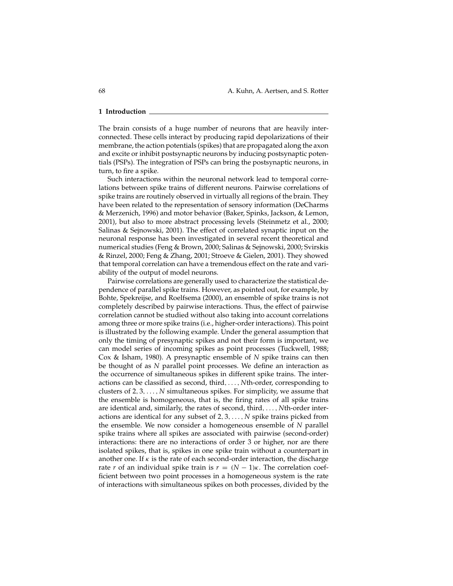## **1 Introduction**

The brain consists of a huge number of neurons that are heavily interconnected. These cells interact by producing rapid depolarizations of their membrane, the action potentials (spikes) that are propagated along the axon and excite or inhibit postsynaptic neurons by inducing postsynaptic potentials (PSPs). The integration of PSPs can bring the postsynaptic neurons, in turn, to fire a spike.

Such interactions within the neuronal network lead to temporal correlations between spike trains of different neurons. Pairwise correlations of spike trains are routinely observed in virtually all regions of the brain. They have been related to the representation of sensory information (DeCharms & Merzenich, 1996) and motor behavior (Baker, Spinks, Jackson, & Lemon, 2001), but also to more abstract processing levels (Steinmetz et al., 2000; Salinas & Sejnowski, 2001). The effect of correlated synaptic input on the neuronal response has been investigated in several recent theoretical and numerical studies (Feng & Brown, 2000; Salinas & Sejnowski, 2000; Svirskis & Rinzel, 2000; Feng & Zhang, 2001; Stroeve & Gielen, 2001). They showed that temporal correlation can have a tremendous effect on the rate and variability of the output of model neurons.

Pairwise correlations are generally used to characterize the statistical dependence of parallel spike trains. However, as pointed out, for example, by Bohte, Spekreijse, and Roelfsema (2000), an ensemble of spike trains is not completely described by pairwise interactions. Thus, the effect of pairwise correlation cannot be studied without also taking into account correlations among three or more spike trains (i.e., higher-order interactions). This point is illustrated by the following example. Under the general assumption that only the timing of presynaptic spikes and not their form is important, we can model series of incoming spikes as point processes (Tuckwell, 1988; Cox & Isham, 1980). A presynaptic ensemble of *N* spike trains can then be thought of as *N* parallel point processes. We define an interaction as the occurrence of simultaneous spikes in different spike trains. The interactions can be classified as second, third,..., *N*th-order, corresponding to clusters of 2, 3,..., *N* simultaneous spikes. For simplicity, we assume that the ensemble is homogeneous, that is, the firing rates of all spike trains are identical and, similarly, the rates of second, third,..., *N*th-order interactions are identical for any subset of 2, 3,..., *N* spike trains picked from the ensemble. We now consider a homogeneous ensemble of *N* parallel spike trains where all spikes are associated with pairwise (second-order) interactions: there are no interactions of order 3 or higher, nor are there isolated spikes, that is, spikes in one spike train without a counterpart in another one. If  $\kappa$  is the rate of each second-order interaction, the discharge rate *r* of an individual spike train is  $r = (N - 1)\kappa$ . The correlation coefficient between two point processes in a homogeneous system is the rate of interactions with simultaneous spikes on both processes, divided by the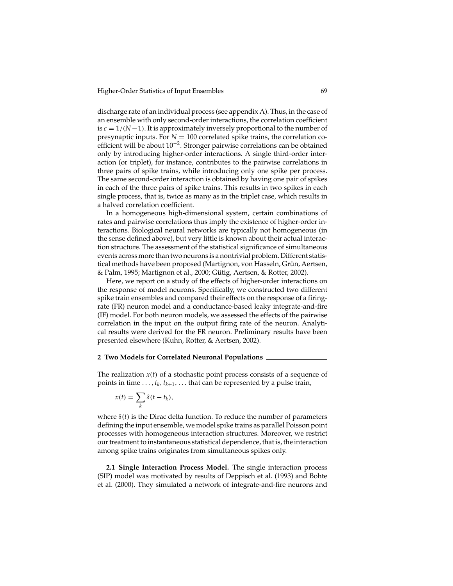discharge rate of an individual process (see appendix A). Thus, in the case of an ensemble with only second-order interactions, the correlation coefficient is *c* = 1/(*N*−1). It is approximately inversely proportional to the number of presynaptic inputs. For  $N = 100$  correlated spike trains, the correlation coefficient will be about 10<sup>−</sup>2. Stronger pairwise correlations can be obtained only by introducing higher-order interactions. A single third-order interaction (or triplet), for instance, contributes to the pairwise correlations in three pairs of spike trains, while introducing only one spike per process. The same second-order interaction is obtained by having one pair of spikes in each of the three pairs of spike trains. This results in two spikes in each single process, that is, twice as many as in the triplet case, which results in a halved correlation coefficient.

In a homogeneous high-dimensional system, certain combinations of rates and pairwise correlations thus imply the existence of higher-order interactions. Biological neural networks are typically not homogeneous (in the sense defined above), but very little is known about their actual interaction structure. The assessment of the statistical significance of simultaneous events across more than two neurons is a nontrivial problem. Different statistical methods have been proposed (Martignon, von Hasseln, Grün, Aertsen, & Palm, 1995; Martignon et al., 2000; Gütig, Aertsen, & Rotter, 2002).

Here, we report on a study of the effects of higher-order interactions on the response of model neurons. Specifically, we constructed two different spike train ensembles and compared their effects on the response of a firingrate (FR) neuron model and a conductance-based leaky integrate-and-fire (IF) model. For both neuron models, we assessed the effects of the pairwise correlation in the input on the output firing rate of the neuron. Analytical results were derived for the FR neuron. Preliminary results have been presented elsewhere (Kuhn, Rotter, & Aertsen, 2002).

# **2 Two Models for Correlated Neuronal Populations**

The realization *x*(*t*) of a stochastic point process consists of a sequence of points in time  $\dots$ ,  $t_k$ ,  $t_{k+1}$ ,  $\dots$  that can be represented by a pulse train,

$$
x(t) = \sum_{k} \delta(t - t_k),
$$

where  $\delta(t)$  is the Dirac delta function. To reduce the number of parameters defining the input ensemble, we model spike trains as parallel Poisson point processes with homogeneous interaction structures. Moreover, we restrict our treatment to instantaneous statistical dependence, that is, the interaction among spike trains originates from simultaneous spikes only.

**2.1 Single Interaction Process Model.** The single interaction process (SIP) model was motivated by results of Deppisch et al. (1993) and Bohte et al. (2000). They simulated a network of integrate-and-fire neurons and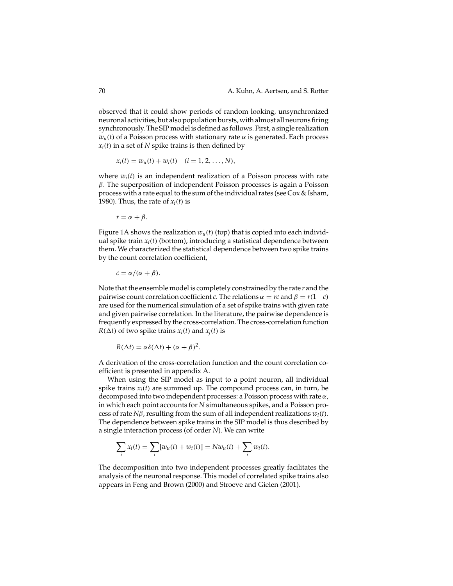observed that it could show periods of random looking, unsynchronized neuronal activities, but also population bursts, with almost all neurons firing synchronously. The SIP model is defined as follows. First, a single realization  $w<sub>u</sub>(t)$  of a Poisson process with stationary rate  $\alpha$  is generated. Each process  $x_i(t)$  in a set of *N* spike trains is then defined by

$$
x_i(t) = w_u(t) + w_i(t)
$$
  $(i = 1, 2, ..., N),$ 

where  $w_i(t)$  is an independent realization of a Poisson process with rate  $β$ . The superposition of independent Poisson processes is again a Poisson process with a rate equal to the sum of the individual rates (see Cox & Isham, 1980). Thus, the rate of  $x_i(t)$  is

$$
r=\alpha+\beta.
$$

Figure 1A shows the realization  $w_u(t)$  (top) that is copied into each individual spike train *xi*(*t*) (bottom), introducing a statistical dependence between them. We characterized the statistical dependence between two spike trains by the count correlation coefficient,

 $c = \alpha/(\alpha + \beta)$ .

Note that the ensemble model is completely constrained by the rate *r* and the pairwise count correlation coefficient *c*. The relations  $\alpha = rc$  and  $\beta = r(1 - c)$ are used for the numerical simulation of a set of spike trains with given rate and given pairwise correlation. In the literature, the pairwise dependence is frequently expressed by the cross-correlation. The cross-correlation function  $R(\Delta t)$  of two spike trains  $x_i(t)$  and  $x_j(t)$  is

$$
R(\Delta t) = \alpha \delta(\Delta t) + (\alpha + \beta)^2.
$$

A derivation of the cross-correlation function and the count correlation coefficient is presented in appendix A.

When using the SIP model as input to a point neuron, all individual spike trains  $x_i(t)$  are summed up. The compound process can, in turn, be decomposed into two independent processes: a Poisson process with rate  $\alpha$ , in which each point accounts for *N* simultaneous spikes, and a Poisson process of rate *N*β, resulting from the sum of all independent realizations *wi*(*t*). The dependence between spike trains in the SIP model is thus described by a single interaction process (of order *N*). We can write

$$
\sum_{i} x_i(t) = \sum_{i} [w_u(t) + w_i(t)] = Nw_u(t) + \sum_{i} w_i(t).
$$

The decomposition into two independent processes greatly facilitates the analysis of the neuronal response. This model of correlated spike trains also appears in Feng and Brown (2000) and Stroeve and Gielen (2001).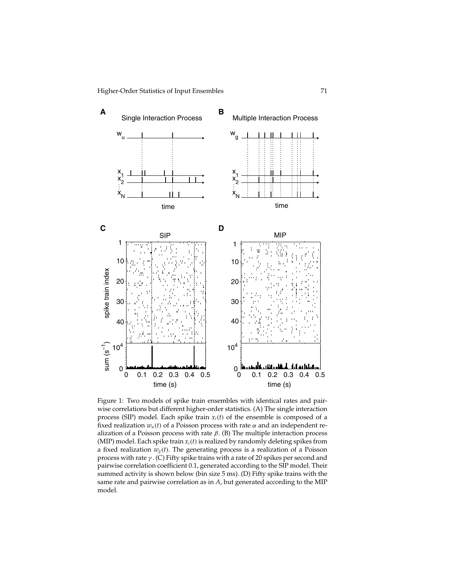

Figure 1: Two models of spike train ensembles with identical rates and pairwise correlations but different higher-order statistics. (A) The single interaction process (SIP) model. Each spike train  $x_i(t)$  of the ensemble is composed of a fixed realization  $w_u(t)$  of a Poisson process with rate  $\alpha$  and an independent realization of a Poisson process with rate  $\beta$ . (B) The multiple interaction process (MIP) model. Each spike train  $x_i(t)$  is realized by randomly deleting spikes from a fixed realization  $w_g(t)$ . The generating process is a realization of a Poisson process with rate  $\gamma$ . (C) Fifty spike trains with a rate of 20 spikes per second and pairwise correlation coefficient 0.1, generated according to the SIP model. Their summed activity is shown below (bin size 5 ms). (D) Fifty spike trains with the same rate and pairwise correlation as in *A*, but generated according to the MIP model.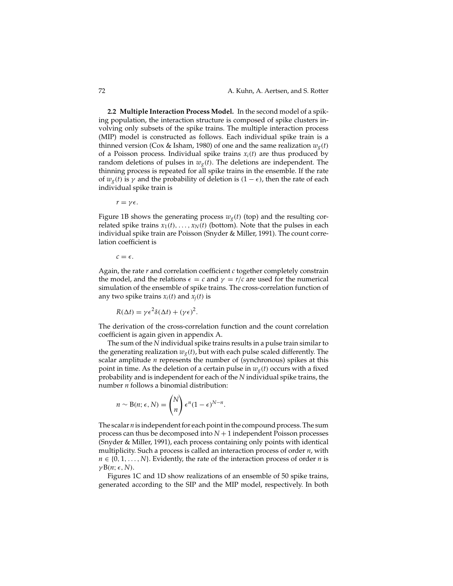**2.2 Multiple Interaction Process Model.** In the second model of a spiking population, the interaction structure is composed of spike clusters involving only subsets of the spike trains. The multiple interaction process (MIP) model is constructed as follows. Each individual spike train is a thinned version (Cox & Isham, 1980) of one and the same realization  $w_g(t)$ of a Poisson process. Individual spike trains  $x_i(t)$  are thus produced by random deletions of pulses in  $w_g(t)$ . The deletions are independent. The thinning process is repeated for all spike trains in the ensemble. If the rate of  $w_g(t)$  is  $\gamma$  and the probability of deletion is  $(1 - \epsilon)$ , then the rate of each individual spike train is

 $r = \gamma \epsilon$ .

Figure 1B shows the generating process  $w_{\varphi}(t)$  (top) and the resulting correlated spike trains  $x_1(t), \ldots, x_N(t)$  (bottom). Note that the pulses in each individual spike train are Poisson (Snyder & Miller, 1991). The count correlation coefficient is

 $c = \epsilon$ .

Again, the rate *r* and correlation coefficient *c* together completely constrain the model, and the relations  $\epsilon = c$  and  $\gamma = r/c$  are used for the numerical simulation of the ensemble of spike trains. The cross-correlation function of any two spike trains  $x_i(t)$  and  $x_j(t)$  is

$$
R(\Delta t) = \gamma \epsilon^2 \delta(\Delta t) + (\gamma \epsilon)^2.
$$

The derivation of the cross-correlation function and the count correlation coefficient is again given in appendix A.

The sum of the *N* individual spike trains results in a pulse train similar to the generating realization  $w_g(t)$ , but with each pulse scaled differently. The scalar amplitude *n* represents the number of (synchronous) spikes at this point in time. As the deletion of a certain pulse in  $w_g(t)$  occurs with a fixed probability and is independent for each of the *N* individual spike trains, the number *n* follows a binomial distribution:

$$
n \sim B(n; \epsilon, N) = {N \choose n} \epsilon^{n} (1 - \epsilon)^{N-n}.
$$

The scalar *n* is independent for each point in the compound process. The sum process can thus be decomposed into *N* + 1 independent Poisson processes (Snyder & Miller, 1991), each process containing only points with identical multiplicity. Such a process is called an interaction process of order *n*, with  $n \in \{0, 1, \ldots, N\}$ . Evidently, the rate of the interaction process of order *n* is  $\gamma B(n; \epsilon, N)$ .

Figures 1C and 1D show realizations of an ensemble of 50 spike trains, generated according to the SIP and the MIP model, respectively. In both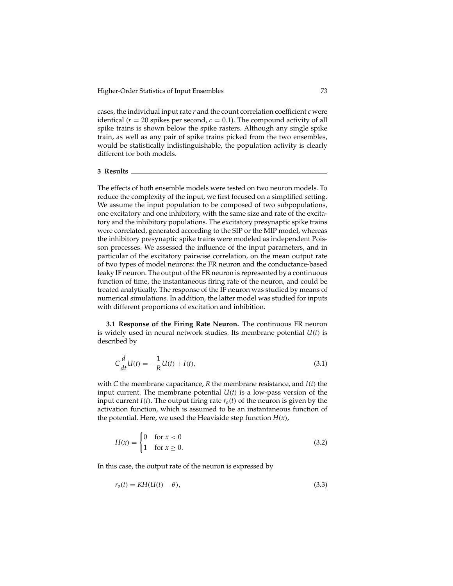cases, the individual input rate *r* and the count correlation coefficient *c* were identical ( $r = 20$  spikes per second,  $c = 0.1$ ). The compound activity of all spike trains is shown below the spike rasters. Although any single spike train, as well as any pair of spike trains picked from the two ensembles, would be statistically indistinguishable, the population activity is clearly different for both models.

# **3 Results**

The effects of both ensemble models were tested on two neuron models. To reduce the complexity of the input, we first focused on a simplified setting. We assume the input population to be composed of two subpopulations, one excitatory and one inhibitory, with the same size and rate of the excitatory and the inhibitory populations. The excitatory presynaptic spike trains were correlated, generated according to the SIP or the MIP model, whereas the inhibitory presynaptic spike trains were modeled as independent Poisson processes. We assessed the influence of the input parameters, and in particular of the excitatory pairwise correlation, on the mean output rate of two types of model neurons: the FR neuron and the conductance-based leaky IF neuron. The output of the FR neuron is represented by a continuous function of time, the instantaneous firing rate of the neuron, and could be treated analytically. The response of the IF neuron was studied by means of numerical simulations. In addition, the latter model was studied for inputs with different proportions of excitation and inhibition.

**3.1 Response of the Firing Rate Neuron.** The continuous FR neuron is widely used in neural network studies. Its membrane potential *U*(*t*) is described by

$$
C\frac{d}{dt}U(t) = -\frac{1}{R}U(t) + I(t),
$$
\n(3.1)

with *C* the membrane capacitance, *R* the membrane resistance, and *I*(*t*) the input current. The membrane potential  $U(t)$  is a low-pass version of the input current  $I(t)$ . The output firing rate  $r<sub>o</sub>(t)$  of the neuron is given by the activation function, which is assumed to be an instantaneous function of the potential. Here, we used the Heaviside step function  $H(x)$ ,

$$
H(x) = \begin{cases} 0 & \text{for } x < 0 \\ 1 & \text{for } x \ge 0. \end{cases} \tag{3.2}
$$

In this case, the output rate of the neuron is expressed by

$$
r_o(t) = KH(U(t) - \theta),\tag{3.3}
$$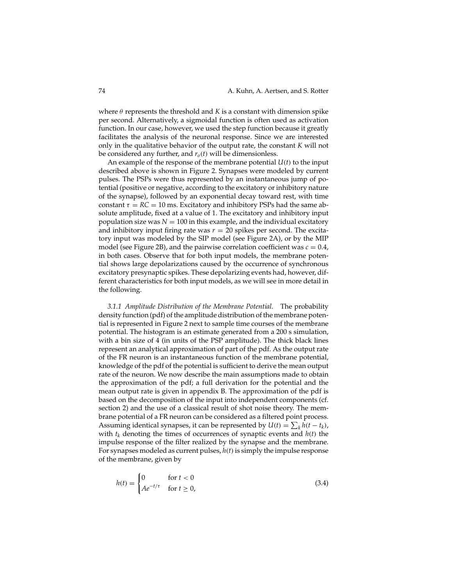where  $\theta$  represents the threshold and  $K$  is a constant with dimension spike per second. Alternatively, a sigmoidal function is often used as activation function. In our case, however, we used the step function because it greatly facilitates the analysis of the neuronal response. Since we are interested only in the qualitative behavior of the output rate, the constant *K* will not be considered any further, and  $r<sub>o</sub>(t)$  will be dimensionless.

An example of the response of the membrane potential *U*(*t*) to the input described above is shown in Figure 2. Synapses were modeled by current pulses. The PSPs were thus represented by an instantaneous jump of potential (positive or negative, according to the excitatory or inhibitory nature of the synapse), followed by an exponential decay toward rest, with time constant  $\tau = RC = 10$  ms. Excitatory and inhibitory PSPs had the same absolute amplitude, fixed at a value of 1. The excitatory and inhibitory input population size was  $N = 100$  in this example, and the individual excitatory and inhibitory input firing rate was  $r = 20$  spikes per second. The excitatory input was modeled by the SIP model (see Figure 2A), or by the MIP model (see Figure 2B), and the pairwise correlation coefficient was  $c = 0.4$ , in both cases. Observe that for both input models, the membrane potential shows large depolarizations caused by the occurrence of synchronous excitatory presynaptic spikes. These depolarizing events had, however, different characteristics for both input models, as we will see in more detail in the following.

*3.1.1 Amplitude Distribution of the Membrane Potential.* The probability density function (pdf) of the amplitude distribution of the membrane potential is represented in Figure 2 next to sample time courses of the membrane potential. The histogram is an estimate generated from a 200 s simulation, with a bin size of 4 (in units of the PSP amplitude). The thick black lines represent an analytical approximation of part of the pdf. As the output rate of the FR neuron is an instantaneous function of the membrane potential, knowledge of the pdf of the potential is sufficient to derive the mean output rate of the neuron. We now describe the main assumptions made to obtain the approximation of the pdf; a full derivation for the potential and the mean output rate is given in appendix B. The approximation of the pdf is based on the decomposition of the input into independent components (cf. section 2) and the use of a classical result of shot noise theory. The membrane potential of a FR neuron can be considered as a filtered point process. Assuming identical synapses, it can be represented by  $U(t) = \sum_{k} h(t - t_k)$ , with  $t_k$  denoting the times of occurrences of synaptic events and  $h(t)$  the impulse response of the filter realized by the synapse and the membrane. For synapses modeled as current pulses,  $h(t)$  is simply the impulse response of the membrane, given by

$$
h(t) = \begin{cases} 0 & \text{for } t < 0 \\ Ae^{-t/\tau} & \text{for } t \ge 0, \end{cases} \tag{3.4}
$$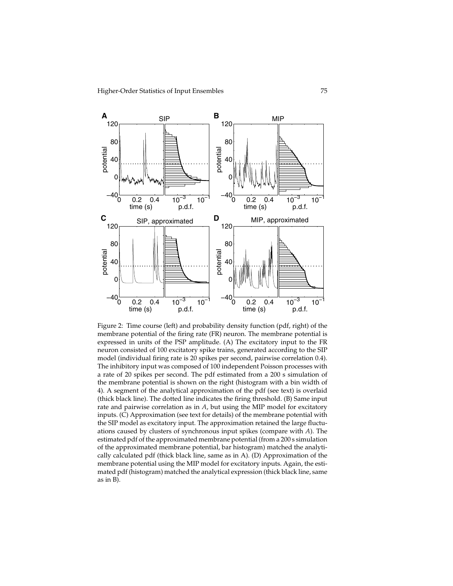

Figure 2: Time course (left) and probability density function (pdf, right) of the membrane potential of the firing rate (FR) neuron. The membrane potential is expressed in units of the PSP amplitude. (A) The excitatory input to the FR neuron consisted of 100 excitatory spike trains, generated according to the SIP model (individual firing rate is 20 spikes per second, pairwise correlation 0.4). The inhibitory input was composed of 100 independent Poisson processes with a rate of 20 spikes per second. The pdf estimated from a 200 s simulation of the membrane potential is shown on the right (histogram with a bin width of 4). A segment of the analytical approximation of the pdf (see text) is overlaid (thick black line). The dotted line indicates the firing threshold. (B) Same input rate and pairwise correlation as in *A*, but using the MIP model for excitatory inputs. (C) Approximation (see text for details) of the membrane potential with the SIP model as excitatory input. The approximation retained the large fluctuations caused by clusters of synchronous input spikes (compare with *A*). The estimated pdf of the approximated membrane potential (from a 200 s simulation of the approximated membrane potential, bar histogram) matched the analytically calculated pdf (thick black line, same as in A). (D) Approximation of the membrane potential using the MIP model for excitatory inputs. Again, the estimated pdf (histogram) matched the analytical expression (thick black line, same as in B).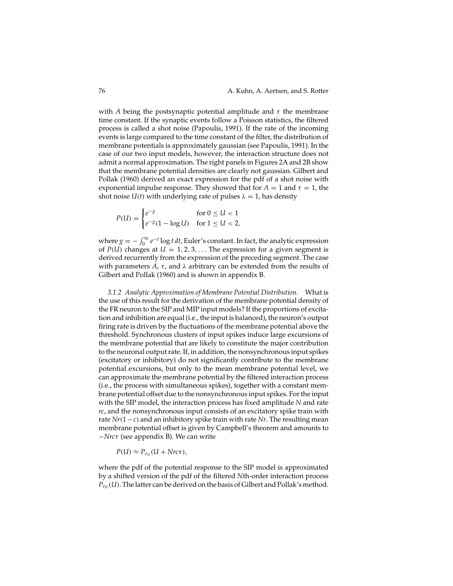with *A* being the postsynaptic potential amplitude and  $\tau$  the membrane time constant. If the synaptic events follow a Poisson statistics, the filtered process is called a shot noise (Papoulis, 1991). If the rate of the incoming events is large compared to the time constant of the filter, the distribution of membrane potentials is approximately gaussian (see Papoulis, 1991). In the case of our two input models, however, the interaction structure does not admit a normal approximation. The right panels in Figures 2A and 2B show that the membrane potential densities are clearly not gaussian. Gilbert and Pollak (1960) derived an exact expression for the pdf of a shot noise with exponential impulse response. They showed that for  $A = 1$  and  $\tau = 1$ , the shot noise  $U(t)$  with underlying rate of pulses  $\lambda = 1$ , has density

$$
P(U) = \begin{cases} e^{-g} & \text{for } 0 \le U < 1\\ e^{-g}(1 - \log U) & \text{for } 1 \le U < 2, \end{cases}
$$

where  $g = -\int_0^\infty e^{-t} \log t \, dt$ , Euler's constant. In fact, the analytic expression of  $P(U)$  changes at  $U = 1, 2, 3, \ldots$  The expression for a given segment is derived recurrently from the expression of the preceding segment. The case with parameters  $A$ ,  $\tau$ , and  $\lambda$  arbitrary can be extended from the results of Gilbert and Pollak (1960) and is shown in appendix B.

*3.1.2 Analytic Approximation of Membrane Potential Distribution.* What is the use of this result for the derivation of the membrane potential density of the FR neuron to the SIP and MIP input models? If the proportions of excitation and inhibition are equal (i.e., the input is balanced), the neuron's output firing rate is driven by the fluctuations of the membrane potential above the threshold. Synchronous clusters of input spikes induce large excursions of the membrane potential that are likely to constitute the major contribution to the neuronal output rate. If, in addition, the nonsynchronous input spikes (excitatory or inhibitory) do not significantly contribute to the membrane potential excursions, but only to the mean membrane potential level, we can approximate the membrane potential by the filtered interaction process (i.e., the process with simultaneous spikes), together with a constant membrane potential offset due to the nonsynchronous input spikes. For the input with the SIP model, the interaction process has fixed amplitude *N* and rate *rc*, and the nonsynchronous input consists of an excitatory spike train with rate *Nr*(1−*c*) and an inhibitory spike train with rate *Nr*. The resulting mean membrane potential offset is given by Campbell's theorem and amounts to −*Nrc*τ (see appendix B). We can write

 $P(U) \approx P_{e_N}(U + Nrc\tau),$ 

where the pdf of the potential response to the SIP model is approximated by a shifted version of the pdf of the filtered *N*th-order interaction process  $P_{e_N}(U)$ . The latter can be derived on the basis of Gilbert and Pollak's method.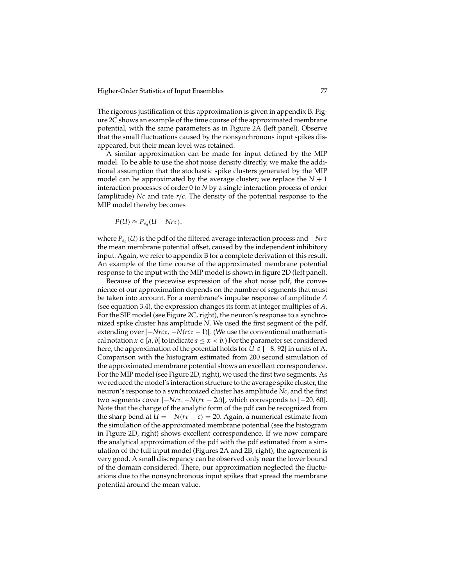The rigorous justification of this approximation is given in appendix B. Figure 2C shows an example of the time course of the approximated membrane potential, with the same parameters as in Figure 2A (left panel). Observe that the small fluctuations caused by the nonsynchronous input spikes disappeared, but their mean level was retained.

A similar approximation can be made for input defined by the MIP model. To be able to use the shot noise density directly, we make the additional assumption that the stochastic spike clusters generated by the MIP model can be approximated by the average cluster; we replace the  $N + 1$ interaction processes of order 0 to *N* by a single interaction process of order (amplitude) *Nc* and rate *r*/*c*. The density of the potential response to the MIP model thereby becomes

$$
P(U) \approx P_{e_{\bar{n}}}(U + N r \tau),
$$

where  $P_{e_{\bar{n}}}(U)$  is the pdf of the filtered average interaction process and  $-Nr\tau$ the mean membrane potential offset, caused by the independent inhibitory input. Again, we refer to appendix B for a complete derivation of this result. An example of the time course of the approximated membrane potential response to the input with the MIP model is shown in figure 2D (left panel).

Because of the piecewise expression of the shot noise pdf, the convenience of our approximation depends on the number of segments that must be taken into account. For a membrane's impulse response of amplitude *A* (see equation 3.4), the expression changes its form at integer multiples of *A*. For the SIP model (see Figure 2C, right), the neuron's response to a synchronized spike cluster has amplitude *N*. We used the first segment of the pdf, extending over [−*Nrc*τ, −*N*(*rc*τ −1)[. (We use the conventional mathematical notation  $x \in [a, b]$  to indicate  $a \leq x < b$ .) For the parameter set considered here, the approximation of the potential holds for  $U \in [-8, 92]$  in units of A. Comparison with the histogram estimated from 200 second simulation of the approximated membrane potential shows an excellent correspondence. For the MIP model (see Figure 2D, right), we used the first two segments. As we reduced the model's interaction structure to the average spike cluster, the neuron's response to a synchronized cluster has amplitude *Nc*, and the first two segments cover  $[-Nr\tau, -N(r\tau - 2c)]$ , which corresponds to  $[-20, 60]$ . Note that the change of the analytic form of the pdf can be recognized from the sharp bend at  $U = -N(r\tau - c) = 20$ . Again, a numerical estimate from the simulation of the approximated membrane potential (see the histogram in Figure 2D, right) shows excellent correspondence. If we now compare the analytical approximation of the pdf with the pdf estimated from a simulation of the full input model (Figures 2A and 2B, right), the agreement is very good. A small discrepancy can be observed only near the lower bound of the domain considered. There, our approximation neglected the fluctuations due to the nonsynchronous input spikes that spread the membrane potential around the mean value.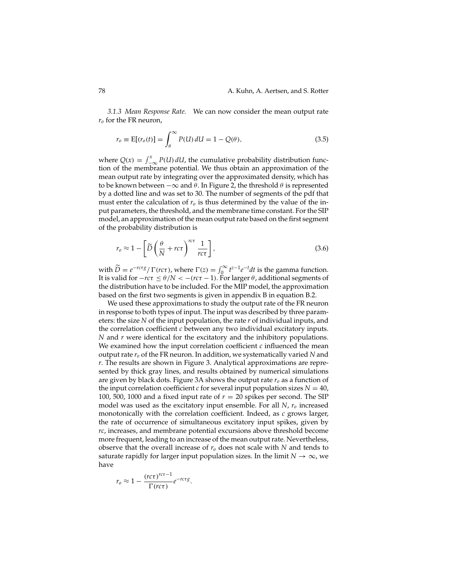*3.1.3 Mean Response Rate.* We can now consider the mean output rate  $r<sub>o</sub>$  for the FR neuron,

$$
r_o \equiv \mathbb{E}[(r_o(t)] = \int_{\theta}^{\infty} P(U) dU = 1 - Q(\theta), \qquad (3.5)
$$

where  $Q(x) = \int_{-\infty}^{x} P(U) dU$ , the cumulative probability distribution function of the membrane potential. We thus obtain an approximation of the mean output rate by integrating over the approximated density, which has to be known between  $-\infty$  and  $\theta$ . In Figure 2, the threshold  $\theta$  is represented by a dotted line and was set to 30. The number of segments of the pdf that must enter the calculation of  $r<sub>o</sub>$  is thus determined by the value of the input parameters, the threshold, and the membrane time constant. For the SIP model, an approximation of the mean output rate based on the first segment of the probability distribution is

$$
r_o \approx 1 - \left[ \widetilde{D} \left( \frac{\theta}{N} + rc\tau \right)^{rc\tau} \frac{1}{rc\tau} \right],\tag{3.6}
$$

with  $\widetilde{D} = e^{-r c \tau g} / \Gamma(r c \tau)$ , where  $\Gamma(z) = \int_0^\infty t^{z-1} e^{-t} dt$  is the gamma function. It is valid for  $-rc\tau \leq \theta/N < -(r c\tau - 1)$ . For larger  $\theta$ , additional segments of the distribution have to be included. For the MIP model, the approximation based on the first two segments is given in appendix B in equation B.2.

We used these approximations to study the output rate of the FR neuron in response to both types of input. The input was described by three parameters: the size *N* of the input population, the rate *r* of individual inputs, and the correlation coefficient *c* between any two individual excitatory inputs. *N* and *r* were identical for the excitatory and the inhibitory populations. We examined how the input correlation coefficient *c* influenced the mean output rate *ro* of the FR neuron. In addition, we systematically varied *N* and *r*. The results are shown in Figure 3. Analytical approximations are represented by thick gray lines, and results obtained by numerical simulations are given by black dots. Figure 3A shows the output rate  $r<sub>o</sub>$  as a function of the input correlation coefficient *c* for several input population sizes  $N = 40$ , 100, 500, 1000 and a fixed input rate of  $r = 20$  spikes per second. The SIP model was used as the excitatory input ensemble. For all *N*, *ro* increased monotonically with the correlation coefficient. Indeed, as *c* grows larger, the rate of occurrence of simultaneous excitatory input spikes, given by *rc*, increases, and membrane potential excursions above threshold become more frequent, leading to an increase of the mean output rate. Nevertheless, observe that the overall increase of *ro* does not scale with *N* and tends to saturate rapidly for larger input population sizes. In the limit  $N \to \infty$ , we have

$$
r_o \approx 1 - \frac{(rc\tau)^{rc\tau - 1}}{\Gamma(r c\tau)} e^{-rc\tau g}.
$$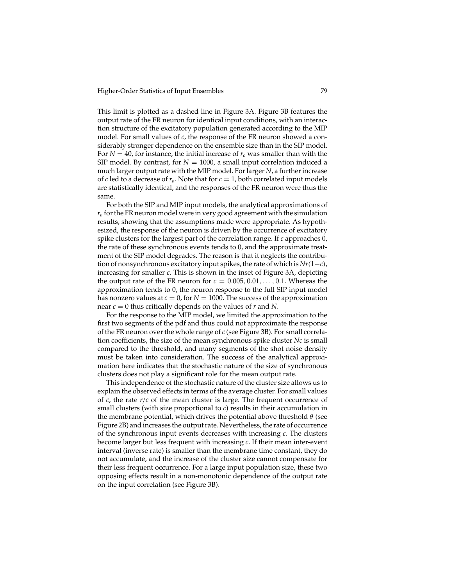This limit is plotted as a dashed line in Figure 3A. Figure 3B features the output rate of the FR neuron for identical input conditions, with an interaction structure of the excitatory population generated according to the MIP model. For small values of *c*, the response of the FR neuron showed a considerably stronger dependence on the ensemble size than in the SIP model. For  $N = 40$ , for instance, the initial increase of  $r<sub>o</sub>$  was smaller than with the SIP model. By contrast, for  $N = 1000$ , a small input correlation induced a much larger output rate with the MIP model. For larger *N*, a further increase of *c* led to a decrease of  $r_o$ . Note that for  $c = 1$ , both correlated input models are statistically identical, and the responses of the FR neuron were thus the same.

For both the SIP and MIP input models, the analytical approximations of *ro* for the FR neuron model were in very good agreement with the simulation results, showing that the assumptions made were appropriate. As hypothesized, the response of the neuron is driven by the occurrence of excitatory spike clusters for the largest part of the correlation range. If *c* approaches 0, the rate of these synchronous events tends to 0, and the approximate treatment of the SIP model degrades. The reason is that it neglects the contribution of nonsynchronous excitatory input spikes, the rate of which is*Nr*(1−*c*), increasing for smaller *c*. This is shown in the inset of Figure 3A, depicting the output rate of the FR neuron for  $c = 0.005, 0.01, \ldots, 0.1$ . Whereas the approximation tends to 0, the neuron response to the full SIP input model has nonzero values at  $c = 0$ , for  $N = 1000$ . The success of the approximation near *c* = 0 thus critically depends on the values of *r* and *N*.

For the response to the MIP model, we limited the approximation to the first two segments of the pdf and thus could not approximate the response of the FR neuron over the whole range of *c* (see Figure 3B). For small correlation coefficients, the size of the mean synchronous spike cluster *Nc* is small compared to the threshold, and many segments of the shot noise density must be taken into consideration. The success of the analytical approximation here indicates that the stochastic nature of the size of synchronous clusters does not play a significant role for the mean output rate.

This independence of the stochastic nature of the cluster size allows us to explain the observed effects in terms of the average cluster. For small values of *c*, the rate *r*/*c* of the mean cluster is large. The frequent occurrence of small clusters (with size proportional to *c*) results in their accumulation in the membrane potential, which drives the potential above threshold  $\theta$  (see Figure 2B) and increases the output rate. Nevertheless, the rate of occurrence of the synchronous input events decreases with increasing *c*. The clusters become larger but less frequent with increasing *c*. If their mean inter-event interval (inverse rate) is smaller than the membrane time constant, they do not accumulate, and the increase of the cluster size cannot compensate for their less frequent occurrence. For a large input population size, these two opposing effects result in a non-monotonic dependence of the output rate on the input correlation (see Figure 3B).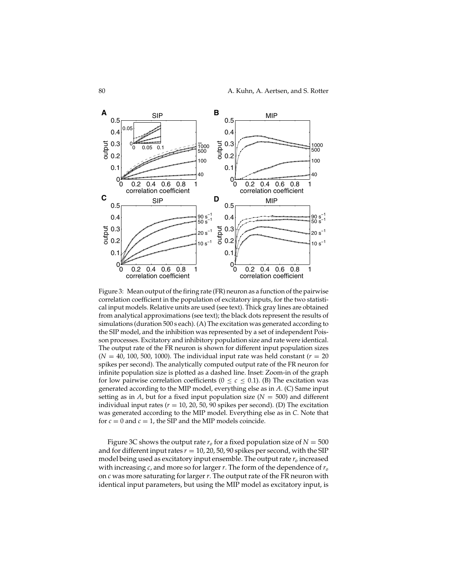

Figure 3: Mean output of the firing rate (FR) neuron as a function of the pairwise correlation coefficient in the population of excitatory inputs, for the two statistical input models. Relative units are used (see text). Thick gray lines are obtained from analytical approximations (see text); the black dots represent the results of simulations (duration 500 s each). (A) The excitation was generated according to the SIP model, and the inhibition was represented by a set of independent Poisson processes. Excitatory and inhibitory population size and rate were identical. The output rate of the FR neuron is shown for different input population sizes  $(N = 40, 100, 500, 1000)$ . The individual input rate was held constant  $(r = 20)$ spikes per second). The analytically computed output rate of the FR neuron for infinite population size is plotted as a dashed line. Inset: Zoom-in of the graph for low pairwise correlation coefficients  $(0 < c < 0.1)$ . (B) The excitation was generated according to the MIP model, everything else as in *A*. (C) Same input setting as in *A*, but for a fixed input population size ( $N = 500$ ) and different individual input rates  $(r = 10, 20, 50, 90$  spikes per second). (D) The excitation was generated according to the MIP model. Everything else as in *C*. Note that for  $c = 0$  and  $c = 1$ , the SIP and the MIP models coincide.

Figure 3C shows the output rate  $r<sub>o</sub>$  for a fixed population size of  $N = 500$ and for different input rates  $r = 10$ , 20, 50, 90 spikes per second, with the SIP model being used as excitatory input ensemble. The output rate  $r<sub>o</sub>$  increased with increasing *c*, and more so for larger *r*. The form of the dependence of *ro* on *c* was more saturating for larger *r*. The output rate of the FR neuron with identical input parameters, but using the MIP model as excitatory input, is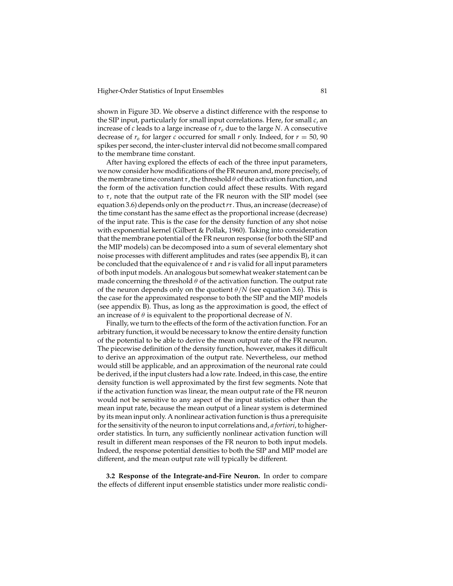shown in Figure 3D. We observe a distinct difference with the response to the SIP input, particularly for small input correlations. Here, for small *c*, an increase of *c* leads to a large increase of  $r<sub>o</sub>$  due to the large *N*. A consecutive decrease of  $r_o$  for larger *c* occurred for small *r* only. Indeed, for  $r = 50$ , 90 spikes per second, the inter-cluster interval did not become small compared to the membrane time constant.

After having explored the effects of each of the three input parameters, we now consider how modifications of the FR neuron and, more precisely, of the membrane time constant  $\tau$ , the threshold  $\theta$  of the activation function, and the form of the activation function could affect these results. With regard to  $\tau$ , note that the output rate of the FR neuron with the SIP model (see equation 3.6) depends only on the product*r*τ . Thus, an increase (decrease) of the time constant has the same effect as the proportional increase (decrease) of the input rate. This is the case for the density function of any shot noise with exponential kernel (Gilbert & Pollak, 1960). Taking into consideration that the membrane potential of the FR neuron response (for both the SIP and the MIP models) can be decomposed into a sum of several elementary shot noise processes with different amplitudes and rates (see appendix B), it can be concluded that the equivalence of  $\tau$  and  $r$  is valid for all input parameters of both input models. An analogous but somewhat weaker statement can be made concerning the threshold  $\theta$  of the activation function. The output rate of the neuron depends only on the quotient  $\theta/N$  (see equation 3.6). This is the case for the approximated response to both the SIP and the MIP models (see appendix B). Thus, as long as the approximation is good, the effect of an increase of  $\theta$  is equivalent to the proportional decrease of  $N$ .

Finally, we turn to the effects of the form of the activation function. For an arbitrary function, it would be necessary to know the entire density function of the potential to be able to derive the mean output rate of the FR neuron. The piecewise definition of the density function, however, makes it difficult to derive an approximation of the output rate. Nevertheless, our method would still be applicable, and an approximation of the neuronal rate could be derived, if the input clusters had a low rate. Indeed, in this case, the entire density function is well approximated by the first few segments. Note that if the activation function was linear, the mean output rate of the FR neuron would not be sensitive to any aspect of the input statistics other than the mean input rate, because the mean output of a linear system is determined by its mean input only. A nonlinear activation function is thus a prerequisite for the sensitivity of the neuron to input correlations and, *a fortiori*, to higherorder statistics. In turn, any sufficiently nonlinear activation function will result in different mean responses of the FR neuron to both input models. Indeed, the response potential densities to both the SIP and MIP model are different, and the mean output rate will typically be different.

**3.2 Response of the Integrate-and-Fire Neuron.** In order to compare the effects of different input ensemble statistics under more realistic condi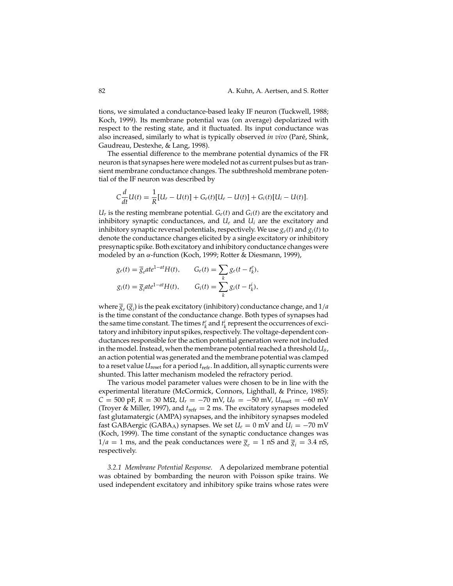tions, we simulated a conductance-based leaky IF neuron (Tuckwell, 1988; Koch, 1999). Its membrane potential was (on average) depolarized with respect to the resting state, and it fluctuated. Its input conductance was also increased, similarly to what is typically observed *in vivo* (Paré, Shink, Gaudreau, Destexhe, & Lang, 1998).

The essential difference to the membrane potential dynamics of the FR neuron is that synapses here were modeled not as current pulses but as transient membrane conductance changes. The subthreshold membrane potential of the IF neuron was described by

$$
C\frac{d}{dt}U(t) = \frac{1}{R}[U_r - U(t)] + G_e(t)[U_e - U(t)] + G_i(t)[U_i - U(t)].
$$

 $U_r$  is the resting membrane potential.  $G_e(t)$  and  $G_i(t)$  are the excitatory and inhibitory synaptic conductances, and  $U_e$  and  $U_i$  are the excitatory and inhibitory synaptic reversal potentials, respectively. We use  $g_e(t)$  and  $g_i(t)$  to denote the conductance changes elicited by a single excitatory or inhibitory presynaptic spike. Both excitatory and inhibitory conductance changes were modeled by an α-function (Koch, 1999; Rotter & Diesmann, 1999),

$$
g_e(t) = \overline{g}_e a t e^{1-at} H(t), \qquad G_e(t) = \sum_k g_e(t - t_k^e),
$$
  

$$
g_i(t) = \overline{g}_i a t e^{1-at} H(t), \qquad G_i(t) = \sum_k g_i(t - t_k^i),
$$

where  $\overline{g}_e(\overline{g}_i)$  is the peak excitatory (inhibitory) conductance change, and  $1/a$ is the time constant of the conductance change. Both types of synapses had the same time constant. The times  $t_k^e$  and  $t_k^i$  represent the occurrences of excitatory and inhibitory input spikes, respectively. The voltage-dependent conductances responsible for the action potential generation were not included in the model. Instead, when the membrane potential reached a threshold  $U_{\theta}$ , an action potential was generated and the membrane potential was clamped to a reset value *U*reset for a period *t*refr. In addition, all synaptic currents were shunted. This latter mechanism modeled the refractory period.

The various model parameter values were chosen to be in line with the experimental literature (McCormick, Connors, Lighthall, & Prince, 1985):  $C = 500$  pF,  $R = 30$  M $\Omega$ ,  $U_r = -70$  mV,  $U_{\theta} = -50$  mV,  $U_{\text{reset}} = -60$  mV (Troyer & Miller, 1997), and *t*refr = 2 ms. The excitatory synapses modeled fast glutamatergic (AMPA) synapses, and the inhibitory synapses modeled fast GABAergic (GABA<sub>A</sub>) synapses. We set  $U_e = 0$  mV and  $U_i = -70$  mV (Koch, 1999). The time constant of the synaptic conductance changes was  $1/a = 1$  ms, and the peak conductances were  $\overline{g}_e = 1$  nS and  $\overline{g}_i = 3.4$  nS, respectively.

*3.2.1 Membrane Potential Response.* A depolarized membrane potential was obtained by bombarding the neuron with Poisson spike trains. We used independent excitatory and inhibitory spike trains whose rates were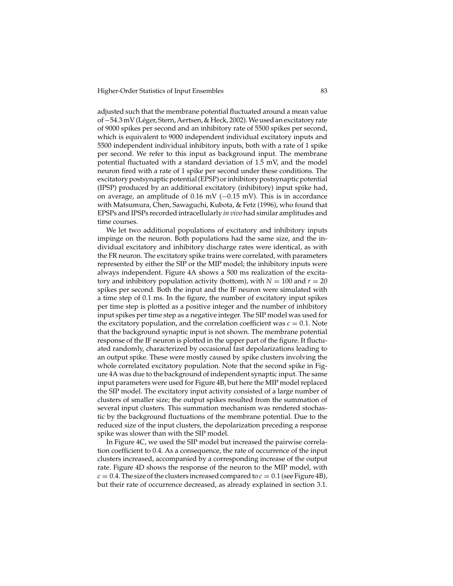adjusted such that the membrane potential fluctuated around a mean value of -54.3 mV (Léger, Stern, Aertsen, & Heck, 2002). We used an excitatory rate of 9000 spikes per second and an inhibitory rate of 5500 spikes per second, which is equivalent to 9000 independent individual excitatory inputs and 5500 independent individual inhibitory inputs, both with a rate of 1 spike per second. We refer to this input as background input. The membrane potential fluctuated with a standard deviation of 1.5 mV, and the model neuron fired with a rate of 1 spike per second under these conditions. The excitatory postsynaptic potential (EPSP) or inhibitory postsynaptic potential (IPSP) produced by an additional excitatory (inhibitory) input spike had, on average, an amplitude of 0.16 mV (−0.15 mV). This is in accordance with Matsumura, Chen, Sawaguchi, Kubota, & Fetz (1996), who found that EPSPs and IPSPs recorded intracellularly *in vivo* had similar amplitudes and time courses.

We let two additional populations of excitatory and inhibitory inputs impinge on the neuron. Both populations had the same size, and the individual excitatory and inhibitory discharge rates were identical, as with the FR neuron. The excitatory spike trains were correlated, with parameters represented by either the SIP or the MIP model; the inhibitory inputs were always independent. Figure 4A shows a 500 ms realization of the excitatory and inhibitory population activity (bottom), with  $N = 100$  and  $r = 20$ spikes per second. Both the input and the IF neuron were simulated with a time step of 0.1 ms. In the figure, the number of excitatory input spikes per time step is plotted as a positive integer and the number of inhibitory input spikes per time step as a negative integer. The SIP model was used for the excitatory population, and the correlation coefficient was  $c = 0.1$ . Note that the background synaptic input is not shown. The membrane potential response of the IF neuron is plotted in the upper part of the figure. It fluctuated randomly, characterized by occasional fast depolarizations leading to an output spike. These were mostly caused by spike clusters involving the whole correlated excitatory population. Note that the second spike in Figure 4A was due to the background of independent synaptic input. The same input parameters were used for Figure 4B, but here the MIP model replaced the SIP model. The excitatory input activity consisted of a large number of clusters of smaller size; the output spikes resulted from the summation of several input clusters. This summation mechanism was rendered stochastic by the background fluctuations of the membrane potential. Due to the reduced size of the input clusters, the depolarization preceding a response spike was slower than with the SIP model.

In Figure 4C, we used the SIP model but increased the pairwise correlation coefficient to 0.4. As a consequence, the rate of occurrence of the input clusters increased, accompanied by a corresponding increase of the output rate. Figure 4D shows the response of the neuron to the MIP model, with  $c = 0.4$ . The size of the clusters increased compared to  $c = 0.1$  (see Figure 4B), but their rate of occurrence decreased, as already explained in section 3.1.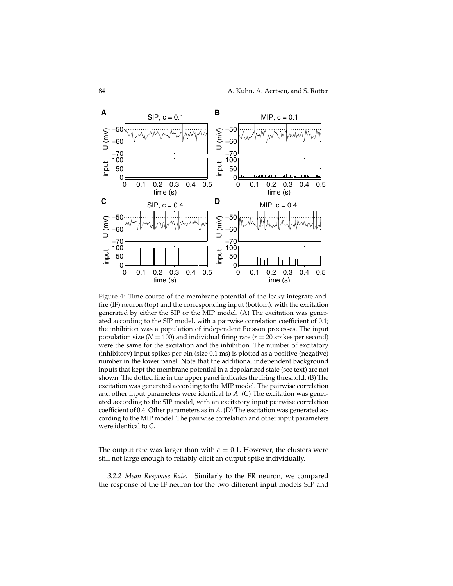

Figure 4: Time course of the membrane potential of the leaky integrate-andfire (IF) neuron (top) and the corresponding input (bottom), with the excitation generated by either the SIP or the MIP model. (A) The excitation was generated according to the SIP model, with a pairwise correlation coefficient of 0.1; the inhibition was a population of independent Poisson processes. The input population size ( $N = 100$ ) and individual firing rate ( $r = 20$  spikes per second) were the same for the excitation and the inhibition. The number of excitatory (inhibitory) input spikes per bin (size 0.1 ms) is plotted as a positive (negative) number in the lower panel. Note that the additional independent background inputs that kept the membrane potential in a depolarized state (see text) are not shown. The dotted line in the upper panel indicates the firing threshold. (B) The excitation was generated according to the MIP model. The pairwise correlation and other input parameters were identical to *A*. (C) The excitation was generated according to the SIP model, with an excitatory input pairwise correlation coefficient of 0.4. Other parameters as in *A*. (D) The excitation was generated according to the MIP model. The pairwise correlation and other input parameters were identical to *C*.

The output rate was larger than with  $c = 0.1$ . However, the clusters were still not large enough to reliably elicit an output spike individually.

*3.2.2 Mean Response Rate.* Similarly to the FR neuron, we compared the response of the IF neuron for the two different input models SIP and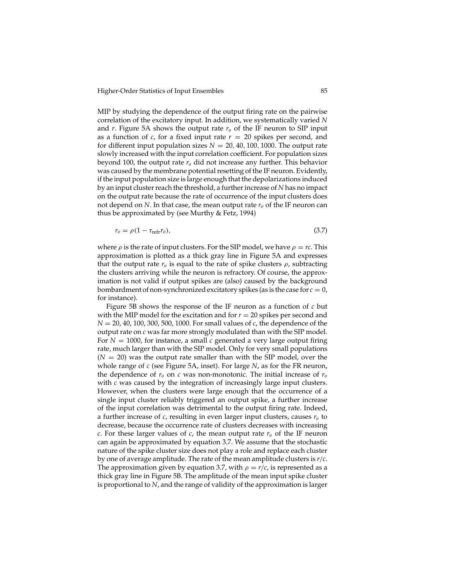MIP by studying the dependence of the output firing rate on the pairwise correlation of the excitatory input. In addition, we systematically varied *N* and *r*. Figure 5A shows the output rate  $r<sub>o</sub>$  of the IF neuron to SIP input as a function of  $c$ , for a fixed input rate  $r = 20$  spikes per second, and for different input population sizes  $N = 20, 40, 100, 1000$ . The output rate slowly increased with the input correlation coefficient. For population sizes beyond 100, the output rate *ro* did not increase any further. This behavior was caused by the membrane potential resetting of the IF neuron. Evidently, if the input population size is large enough that the depolarizations induced by an input cluster reach the threshold, a further increase of *N* has no impact on the output rate because the rate of occurrence of the input clusters does not depend on *N*. In that case, the mean output rate  $r<sub>o</sub>$  of the IF neuron can thus be approximated by (see Murthy & Fetz, 1994)

$$
r_o = \rho (1 - \tau_{\text{refr}} r_o),\tag{3.7}
$$

where  $\rho$  is the rate of input clusters. For the SIP model, we have  $\rho = rc$ . This approximation is plotted as a thick gray line in Figure 5A and expresses that the output rate  $r<sub>o</sub>$  is equal to the rate of spike clusters  $\rho$ , subtracting the clusters arriving while the neuron is refractory. Of course, the approximation is not valid if output spikes are (also) caused by the background bombardment of non-synchronized excitatory spikes (as is the case for  $c = 0$ , for instance).

Figure 5B shows the response of the IF neuron as a function of *c* but with the MIP model for the excitation and for  $r = 20$  spikes per second and *N* = 20, 40, 100, 300, 500, 1000. For small values of *c*, the dependence of the output rate on *c* was far more strongly modulated than with the SIP model. For  $N = 1000$ , for instance, a small *c* generated a very large output firing rate, much larger than with the SIP model. Only for very small populations  $(N = 20)$  was the output rate smaller than with the SIP model, over the whole range of *c* (see Figure 5A, inset). For large *N*, as for the FR neuron, the dependence of  $r<sub>o</sub>$  on  $c$  was non-monotonic. The initial increase of  $r<sub>o</sub>$ with *c* was caused by the integration of increasingly large input clusters. However, when the clusters were large enough that the occurrence of a single input cluster reliably triggered an output spike, a further increase of the input correlation was detrimental to the output firing rate. Indeed, a further increase of *c*, resulting in even larger input clusters, causes *ro* to decrease, because the occurrence rate of clusters decreases with increasing *c*. For these larger values of *c*, the mean output rate  $r<sub>o</sub>$  of the IF neuron can again be approximated by equation 3.7. We assume that the stochastic nature of the spike cluster size does not play a role and replace each cluster by one of average amplitude. The rate of the mean amplitude clusters is *r*/*c*. The approximation given by equation 3.7, with  $\rho = r/c$ , is represented as a thick gray line in Figure 5B. The amplitude of the mean input spike cluster is proportional to *N*, and the range of validity of the approximation is larger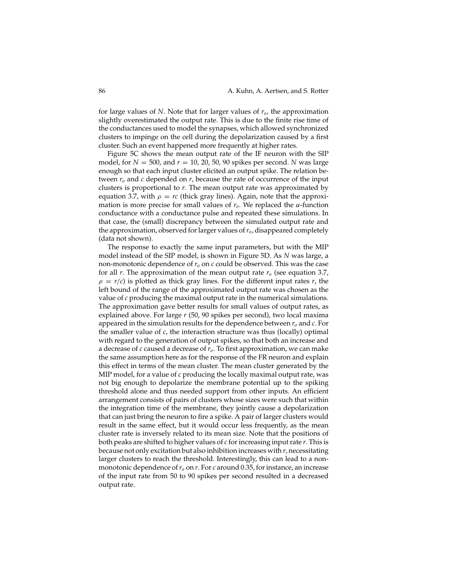for large values of *N*. Note that for larger values of *ro*, the approximation slightly overestimated the output rate. This is due to the finite rise time of the conductances used to model the synapses, which allowed synchronized clusters to impinge on the cell during the depolarization caused by a first cluster. Such an event happened more frequently at higher rates.

Figure 5C shows the mean output rate of the IF neuron with the SIP model, for *N* = 500, and *r* = 10, 20, 50, 90 spikes per second. *N* was large enough so that each input cluster elicited an output spike. The relation between  $r<sub>o</sub>$  and  $c$  depended on  $r$ , because the rate of occurrence of the input clusters is proportional to *r*. The mean output rate was approximated by equation 3.7, with  $\rho = rc$  (thick gray lines). Again, note that the approximation is more precise for small values of  $r<sub>o</sub>$ . We replaced the  $\alpha$ -function conductance with a conductance pulse and repeated these simulations. In that case, the (small) discrepancy between the simulated output rate and the approximation, observed for larger values of*ro*, disappeared completely (data not shown).

The response to exactly the same input parameters, but with the MIP model instead of the SIP model, is shown in Figure 5D. As *N* was large, a non-monotonic dependence of  $r<sub>o</sub>$  on  $c$  could be observed. This was the case for all *r*. The approximation of the mean output rate *ro* (see equation 3.7,  $\rho = r/c$ ) is plotted as thick gray lines. For the different input rates *r*, the left bound of the range of the approximated output rate was chosen as the value of *c* producing the maximal output rate in the numerical simulations. The approximation gave better results for small values of output rates, as explained above. For large *r* (50, 90 spikes per second), two local maxima appeared in the simulation results for the dependence between  $r<sub>o</sub>$  and  $c$ . For the smaller value of *c*, the interaction structure was thus (locally) optimal with regard to the generation of output spikes, so that both an increase and a decrease of *c* caused a decrease of *ro*. To first approximation, we can make the same assumption here as for the response of the FR neuron and explain this effect in terms of the mean cluster. The mean cluster generated by the MIP model, for a value of *c* producing the locally maximal output rate, was not big enough to depolarize the membrane potential up to the spiking threshold alone and thus needed support from other inputs. An efficient arrangement consists of pairs of clusters whose sizes were such that within the integration time of the membrane, they jointly cause a depolarization that can just bring the neuron to fire a spike. A pair of larger clusters would result in the same effect, but it would occur less frequently, as the mean cluster rate is inversely related to its mean size. Note that the positions of both peaks are shifted to higher values of *c* for increasing input rate *r*. This is because not only excitation but also inhibition increases with *r*, necessitating larger clusters to reach the threshold. Interestingly, this can lead to a nonmonotonic dependence of  $r<sub>o</sub>$  on *r*. For *c* around 0.35, for instance, an increase of the input rate from 50 to 90 spikes per second resulted in a decreased output rate.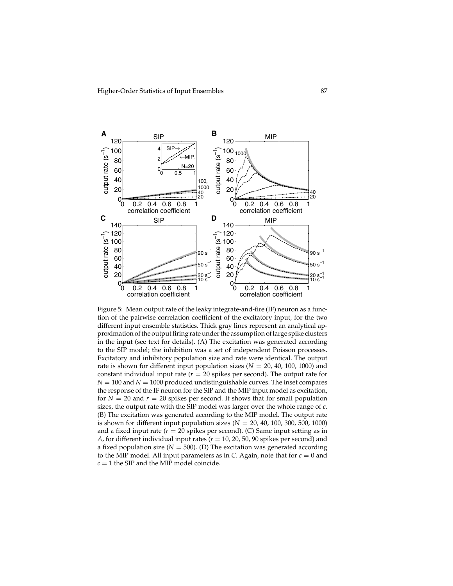

Figure 5: Mean output rate of the leaky integrate-and-fire (IF) neuron as a function of the pairwise correlation coefficient of the excitatory input, for the two different input ensemble statistics. Thick gray lines represent an analytical approximation of the output firing rate under the assumption of large spike clusters in the input (see text for details). (A) The excitation was generated according to the SIP model; the inhibition was a set of independent Poisson processes. Excitatory and inhibitory population size and rate were identical. The output rate is shown for different input population sizes  $(N = 20, 40, 100, 1000)$  and constant individual input rate  $(r = 20$  spikes per second). The output rate for  $N = 100$  and  $N = 1000$  produced undistinguishable curves. The inset compares the response of the IF neuron for the SIP and the MIP input model as excitation, for  $N = 20$  and  $r = 20$  spikes per second. It shows that for small population sizes, the output rate with the SIP model was larger over the whole range of *c*. (B) The excitation was generated according to the MIP model. The output rate is shown for different input population sizes  $(N = 20, 40, 100, 300, 500, 1000)$ and a fixed input rate  $(r = 20$  spikes per second). (C) Same input setting as in *A*, for different individual input rates ( $r = 10$ , 20, 50, 90 spikes per second) and a fixed population size  $(N = 500)$ . (D) The excitation was generated according to the MIP model. All input parameters as in *C*. Again, note that for  $c = 0$  and  $c = 1$  the SIP and the MIP model coincide.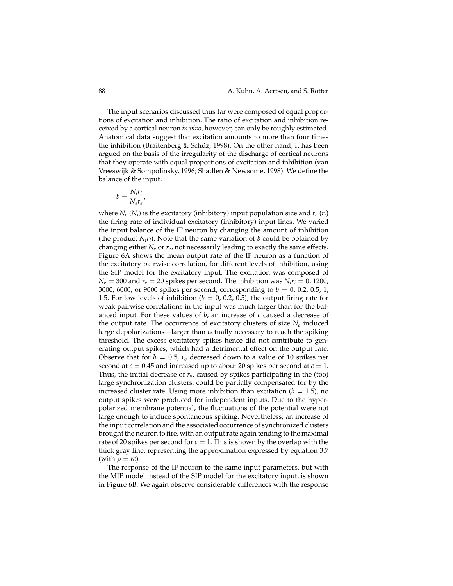The input scenarios discussed thus far were composed of equal proportions of excitation and inhibition. The ratio of excitation and inhibition received by a cortical neuron *in vivo*, however, can only be roughly estimated. Anatomical data suggest that excitation amounts to more than four times the inhibition (Braitenberg & Schüz, 1998). On the other hand, it has been argued on the basis of the irregularity of the discharge of cortical neurons that they operate with equal proportions of excitation and inhibition (van Vreeswijk & Sompolinsky, 1996; Shadlen & Newsome, 1998). We define the balance of the input,

$$
b = \frac{N_i r_i}{N_e r_e},
$$

where  $N_e$  ( $N_i$ ) is the excitatory (inhibitory) input population size and  $r_e$  ( $r_i$ ) the firing rate of individual excitatory (inhibitory) input lines. We varied the input balance of the IF neuron by changing the amount of inhibition (the product  $N_i r_i$ ). Note that the same variation of  $b$  could be obtained by changing either *Ne* or *re*, not necessarily leading to exactly the same effects. Figure 6A shows the mean output rate of the IF neuron as a function of the excitatory pairwise correlation, for different levels of inhibition, using the SIP model for the excitatory input. The excitation was composed of  $N_e = 300$  and  $r_e = 20$  spikes per second. The inhibition was  $N_i r_i = 0$ , 1200, 3000, 6000, or 9000 spikes per second, corresponding to *b* = 0, 0.2, 0.5, 1, 1.5. For low levels of inhibition ( $b = 0, 0.2, 0.5$ ), the output firing rate for weak pairwise correlations in the input was much larger than for the balanced input. For these values of *b*, an increase of *c* caused a decrease of the output rate. The occurrence of excitatory clusters of size  $N_e$  induced large depolarizations—larger than actually necessary to reach the spiking threshold. The excess excitatory spikes hence did not contribute to generating output spikes, which had a detrimental effect on the output rate. Observe that for  $b = 0.5$ ,  $r_0$  decreased down to a value of 10 spikes per second at  $c = 0.45$  and increased up to about 20 spikes per second at  $c = 1$ . Thus, the initial decrease of *ro*, caused by spikes participating in the (too) large synchronization clusters, could be partially compensated for by the increased cluster rate. Using more inhibition than excitation  $(b = 1.5)$ , no output spikes were produced for independent inputs. Due to the hyperpolarized membrane potential, the fluctuations of the potential were not large enough to induce spontaneous spiking. Nevertheless, an increase of the input correlation and the associated occurrence of synchronized clusters brought the neuron to fire, with an output rate again tending to the maximal rate of 20 spikes per second for  $c = 1$ . This is shown by the overlap with the thick gray line, representing the approximation expressed by equation 3.7 (with  $\rho = rc$ ).

The response of the IF neuron to the same input parameters, but with the MIP model instead of the SIP model for the excitatory input, is shown in Figure 6B. We again observe considerable differences with the response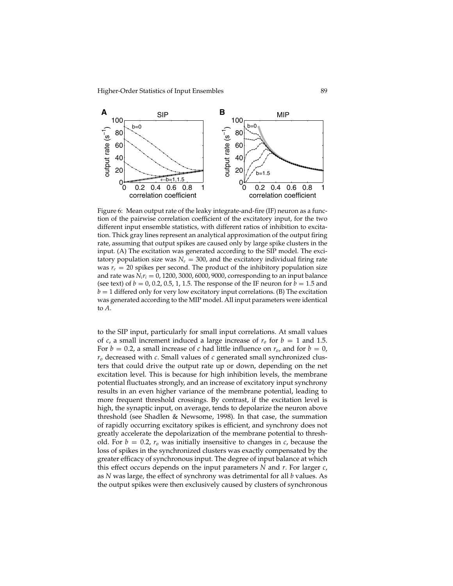

Figure 6: Mean output rate of the leaky integrate-and-fire (IF) neuron as a function of the pairwise correlation coefficient of the excitatory input, for the two different input ensemble statistics, with different ratios of inhibition to excitation. Thick gray lines represent an analytical approximation of the output firing rate, assuming that output spikes are caused only by large spike clusters in the input. (A) The excitation was generated according to the SIP model. The excitatory population size was  $N_e = 300$ , and the excitatory individual firing rate was  $r_e = 20$  spikes per second. The product of the inhibitory population size and rate was  $N_i r_i = 0$ , 1200, 3000, 6000, 9000, corresponding to an input balance (see text) of  $b = 0$ , 0.2, 0.5, 1, 1.5. The response of the IF neuron for  $b = 1.5$  and  $b = 1$  differed only for very low excitatory input correlations. (B) The excitation was generated according to the MIP model. All input parameters were identical to *A*.

to the SIP input, particularly for small input correlations. At small values of *c*, a small increment induced a large increase of  $r<sub>o</sub>$  for  $b = 1$  and 1.5. For  $b = 0.2$ , a small increase of *c* had little influence on  $r_o$ , and for  $b = 0$ , *ro* decreased with *c*. Small values of *c* generated small synchronized clusters that could drive the output rate up or down, depending on the net excitation level. This is because for high inhibition levels, the membrane potential fluctuates strongly, and an increase of excitatory input synchrony results in an even higher variance of the membrane potential, leading to more frequent threshold crossings. By contrast, if the excitation level is high, the synaptic input, on average, tends to depolarize the neuron above threshold (see Shadlen & Newsome, 1998). In that case, the summation of rapidly occurring excitatory spikes is efficient, and synchrony does not greatly accelerate the depolarization of the membrane potential to threshold. For  $b = 0.2$ ,  $r<sub>o</sub>$  was initially insensitive to changes in *c*, because the loss of spikes in the synchronized clusters was exactly compensated by the greater efficacy of synchronous input. The degree of input balance at which this effect occurs depends on the input parameters *N* and *r*. For larger *c*, as *N* was large, the effect of synchrony was detrimental for all *b* values. As the output spikes were then exclusively caused by clusters of synchronous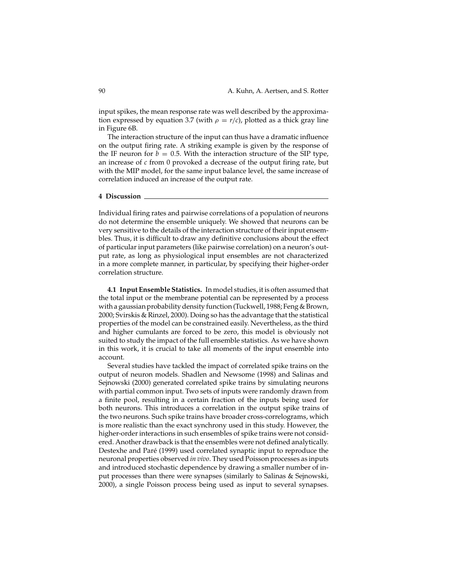input spikes, the mean response rate was well described by the approximation expressed by equation 3.7 (with  $\rho = r/c$ ), plotted as a thick gray line in Figure 6B.

The interaction structure of the input can thus have a dramatic influence on the output firing rate. A striking example is given by the response of the IF neuron for  $b = 0.5$ . With the interaction structure of the SIP type, an increase of *c* from 0 provoked a decrease of the output firing rate, but with the MIP model, for the same input balance level, the same increase of correlation induced an increase of the output rate.

#### **4 Discussion**

Individual firing rates and pairwise correlations of a population of neurons do not determine the ensemble uniquely. We showed that neurons can be very sensitive to the details of the interaction structure of their input ensembles. Thus, it is difficult to draw any definitive conclusions about the effect of particular input parameters (like pairwise correlation) on a neuron's output rate, as long as physiological input ensembles are not characterized in a more complete manner, in particular, by specifying their higher-order correlation structure.

**4.1 Input Ensemble Statistics.** In model studies, it is often assumed that the total input or the membrane potential can be represented by a process with a gaussian probability density function (Tuckwell, 1988; Feng & Brown, 2000; Svirskis & Rinzel, 2000). Doing so has the advantage that the statistical properties of the model can be constrained easily. Nevertheless, as the third and higher cumulants are forced to be zero, this model is obviously not suited to study the impact of the full ensemble statistics. As we have shown in this work, it is crucial to take all moments of the input ensemble into account.

Several studies have tackled the impact of correlated spike trains on the output of neuron models. Shadlen and Newsome (1998) and Salinas and Sejnowski (2000) generated correlated spike trains by simulating neurons with partial common input. Two sets of inputs were randomly drawn from a finite pool, resulting in a certain fraction of the inputs being used for both neurons. This introduces a correlation in the output spike trains of the two neurons. Such spike trains have broader cross-correlograms, which is more realistic than the exact synchrony used in this study. However, the higher-order interactions in such ensembles of spike trains were not considered. Another drawback is that the ensembles were not defined analytically. Destexhe and Paré (1999) used correlated synaptic input to reproduce the neuronal properties observed *in vivo*. They used Poisson processes as inputs and introduced stochastic dependence by drawing a smaller number of input processes than there were synapses (similarly to Salinas & Sejnowski, 2000), a single Poisson process being used as input to several synapses.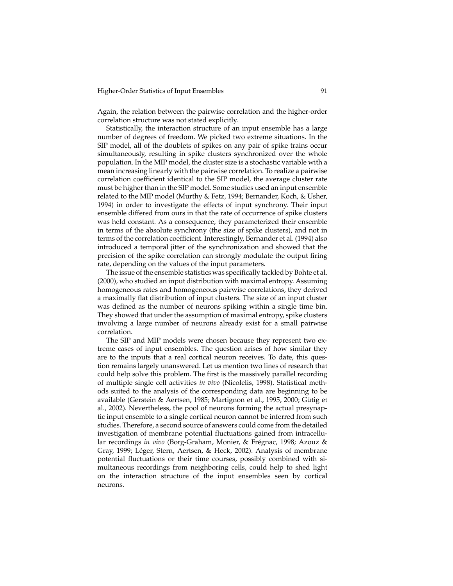Again, the relation between the pairwise correlation and the higher-order correlation structure was not stated explicitly.

Statistically, the interaction structure of an input ensemble has a large number of degrees of freedom. We picked two extreme situations. In the SIP model, all of the doublets of spikes on any pair of spike trains occur simultaneously, resulting in spike clusters synchronized over the whole population. In the MIP model, the cluster size is a stochastic variable with a mean increasing linearly with the pairwise correlation. To realize a pairwise correlation coefficient identical to the SIP model, the average cluster rate must be higher than in the SIP model. Some studies used an input ensemble related to the MIP model (Murthy & Fetz, 1994; Bernander, Koch, & Usher, 1994) in order to investigate the effects of input synchrony. Their input ensemble differed from ours in that the rate of occurrence of spike clusters was held constant. As a consequence, they parameterized their ensemble in terms of the absolute synchrony (the size of spike clusters), and not in terms of the correlation coefficient. Interestingly, Bernander et al. (1994) also introduced a temporal jitter of the synchronization and showed that the precision of the spike correlation can strongly modulate the output firing rate, depending on the values of the input parameters.

The issue of the ensemble statistics was specifically tackled by Bohte et al. (2000), who studied an input distribution with maximal entropy. Assuming homogeneous rates and homogeneous pairwise correlations, they derived a maximally flat distribution of input clusters. The size of an input cluster was defined as the number of neurons spiking within a single time bin. They showed that under the assumption of maximal entropy, spike clusters involving a large number of neurons already exist for a small pairwise correlation.

The SIP and MIP models were chosen because they represent two extreme cases of input ensembles. The question arises of how similar they are to the inputs that a real cortical neuron receives. To date, this question remains largely unanswered. Let us mention two lines of research that could help solve this problem. The first is the massively parallel recording of multiple single cell activities *in vivo* (Nicolelis, 1998). Statistical methods suited to the analysis of the corresponding data are beginning to be available (Gerstein & Aertsen, 1985; Martignon et al., 1995, 2000; Gütig et al., 2002). Nevertheless, the pool of neurons forming the actual presynaptic input ensemble to a single cortical neuron cannot be inferred from such studies. Therefore, a second source of answers could come from the detailed investigation of membrane potential fluctuations gained from intracellular recordings *in vivo* (Borg-Graham, Monier, & Frégnac, 1998; Azouz & Gray, 1999; Léger, Stern, Aertsen, & Heck, 2002). Analysis of membrane potential fluctuations or their time courses, possibly combined with simultaneous recordings from neighboring cells, could help to shed light on the interaction structure of the input ensembles seen by cortical neurons.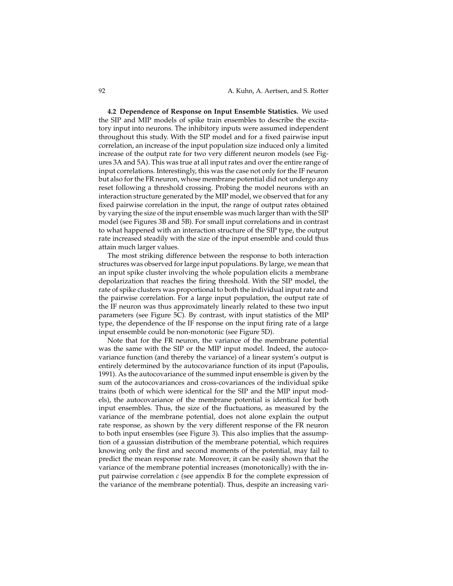**4.2 Dependence of Response on Input Ensemble Statistics.** We used the SIP and MIP models of spike train ensembles to describe the excitatory input into neurons. The inhibitory inputs were assumed independent throughout this study. With the SIP model and for a fixed pairwise input correlation, an increase of the input population size induced only a limited increase of the output rate for two very different neuron models (see Figures 3A and 5A). This was true at all input rates and over the entire range of input correlations. Interestingly, this was the case not only for the IF neuron but also for the FR neuron, whose membrane potential did not undergo any reset following a threshold crossing. Probing the model neurons with an interaction structure generated by the MIP model, we observed that for any fixed pairwise correlation in the input, the range of output rates obtained by varying the size of the input ensemble was much larger than with the SIP model (see Figures 3B and 5B). For small input correlations and in contrast to what happened with an interaction structure of the SIP type, the output rate increased steadily with the size of the input ensemble and could thus attain much larger values.

The most striking difference between the response to both interaction structures was observed for large input populations. By large, we mean that an input spike cluster involving the whole population elicits a membrane depolarization that reaches the firing threshold. With the SIP model, the rate of spike clusters was proportional to both the individual input rate and the pairwise correlation. For a large input population, the output rate of the IF neuron was thus approximately linearly related to these two input parameters (see Figure 5C). By contrast, with input statistics of the MIP type, the dependence of the IF response on the input firing rate of a large input ensemble could be non-monotonic (see Figure 5D).

Note that for the FR neuron, the variance of the membrane potential was the same with the SIP or the MIP input model. Indeed, the autocovariance function (and thereby the variance) of a linear system's output is entirely determined by the autocovariance function of its input (Papoulis, 1991). As the autocovariance of the summed input ensemble is given by the sum of the autocovariances and cross-covariances of the individual spike trains (both of which were identical for the SIP and the MIP input models), the autocovariance of the membrane potential is identical for both input ensembles. Thus, the size of the fluctuations, as measured by the variance of the membrane potential, does not alone explain the output rate response, as shown by the very different response of the FR neuron to both input ensembles (see Figure 3). This also implies that the assumption of a gaussian distribution of the membrane potential, which requires knowing only the first and second moments of the potential, may fail to predict the mean response rate. Moreover, it can be easily shown that the variance of the membrane potential increases (monotonically) with the input pairwise correlation *c* (see appendix B for the complete expression of the variance of the membrane potential). Thus, despite an increasing vari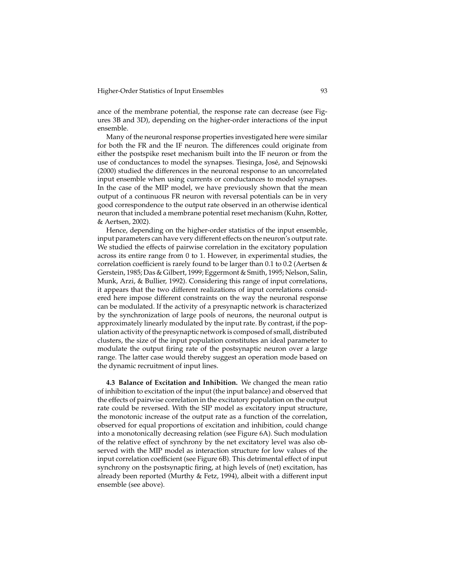ance of the membrane potential, the response rate can decrease (see Figures 3B and 3D), depending on the higher-order interactions of the input ensemble.

Many of the neuronal response properties investigated here were similar for both the FR and the IF neuron. The differences could originate from either the postspike reset mechanism built into the IF neuron or from the use of conductances to model the synapses. Tiesinga, José, and Sejnowski (2000) studied the differences in the neuronal response to an uncorrelated input ensemble when using currents or conductances to model synapses. In the case of the MIP model, we have previously shown that the mean output of a continuous FR neuron with reversal potentials can be in very good correspondence to the output rate observed in an otherwise identical neuron that included a membrane potential reset mechanism (Kuhn, Rotter, & Aertsen, 2002).

Hence, depending on the higher-order statistics of the input ensemble, input parameters can have very different effects on the neuron's output rate. We studied the effects of pairwise correlation in the excitatory population across its entire range from 0 to 1. However, in experimental studies, the correlation coefficient is rarely found to be larger than 0.1 to 0.2 (Aertsen & Gerstein, 1985; Das & Gilbert, 1999; Eggermont & Smith, 1995; Nelson, Salin, Munk, Arzi, & Bullier, 1992). Considering this range of input correlations, it appears that the two different realizations of input correlations considered here impose different constraints on the way the neuronal response can be modulated. If the activity of a presynaptic network is characterized by the synchronization of large pools of neurons, the neuronal output is approximately linearly modulated by the input rate. By contrast, if the population activity of the presynaptic network is composed of small, distributed clusters, the size of the input population constitutes an ideal parameter to modulate the output firing rate of the postsynaptic neuron over a large range. The latter case would thereby suggest an operation mode based on the dynamic recruitment of input lines.

**4.3 Balance of Excitation and Inhibition.** We changed the mean ratio of inhibition to excitation of the input (the input balance) and observed that the effects of pairwise correlation in the excitatory population on the output rate could be reversed. With the SIP model as excitatory input structure, the monotonic increase of the output rate as a function of the correlation, observed for equal proportions of excitation and inhibition, could change into a monotonically decreasing relation (see Figure 6A). Such modulation of the relative effect of synchrony by the net excitatory level was also observed with the MIP model as interaction structure for low values of the input correlation coefficient (see Figure 6B). This detrimental effect of input synchrony on the postsynaptic firing, at high levels of (net) excitation, has already been reported (Murthy & Fetz, 1994), albeit with a different input ensemble (see above).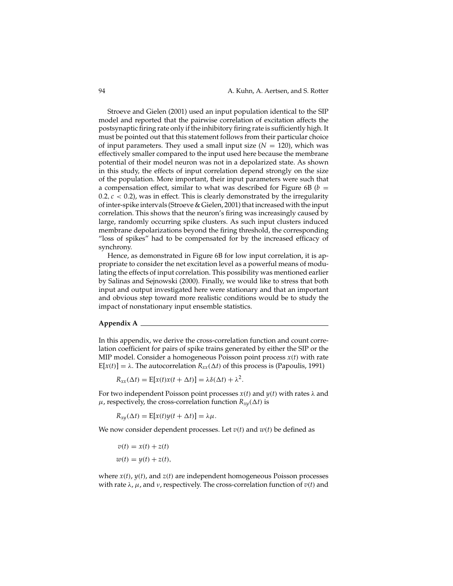Stroeve and Gielen (2001) used an input population identical to the SIP model and reported that the pairwise correlation of excitation affects the postsynaptic firing rate only if the inhibitory firing rate is sufficiently high. It must be pointed out that this statement follows from their particular choice of input parameters. They used a small input size  $(N = 120)$ , which was effectively smaller compared to the input used here because the membrane potential of their model neuron was not in a depolarized state. As shown in this study, the effects of input correlation depend strongly on the size of the population. More important, their input parameters were such that a compensation effect, similar to what was described for Figure 6B ( $b =$  $0.2, c < 0.2$ ), was in effect. This is clearly demonstrated by the irregularity of inter-spike intervals (Stroeve & Gielen, 2001) that increased with the input correlation. This shows that the neuron's firing was increasingly caused by large, randomly occurring spike clusters. As such input clusters induced membrane depolarizations beyond the firing threshold, the corresponding "loss of spikes" had to be compensated for by the increased efficacy of synchrony.

Hence, as demonstrated in Figure 6B for low input correlation, it is appropriate to consider the net excitation level as a powerful means of modulating the effects of input correlation. This possibility was mentioned earlier by Salinas and Sejnowski (2000). Finally, we would like to stress that both input and output investigated here were stationary and that an important and obvious step toward more realistic conditions would be to study the impact of nonstationary input ensemble statistics.

#### **Appendix A**

In this appendix, we derive the cross-correlation function and count correlation coefficient for pairs of spike trains generated by either the SIP or the MIP model. Consider a homogeneous Poisson point process *x*(*t*) with rate  $E[x(t)] = \lambda$ . The autocorrelation  $R_{xx}(\Delta t)$  of this process is (Papoulis, 1991)

 $R_{xx}(\Delta t) = \mathbb{E}[x(t)x(t + \Delta t)] = \lambda \delta(\Delta t) + \lambda^2.$ 

For two independent Poisson point processes  $x(t)$  and  $y(t)$  with rates  $\lambda$  and  $\mu$ , respectively, the cross-correlation function  $R_{xy}(\Delta t)$  is

 $R_{xy}(\Delta t) = E[x(t)y(t + \Delta t)] = \lambda \mu.$ 

We now consider dependent processes. Let  $v(t)$  and  $w(t)$  be defined as

$$
v(t) = x(t) + z(t)
$$
  

$$
w(t) = y(t) + z(t),
$$

where *x*(*t*), *y*(*t*), and *z*(*t*) are independent homogeneous Poisson processes with rate λ, µ, and ν, respectively. The cross-correlation function of *v*(*t*) and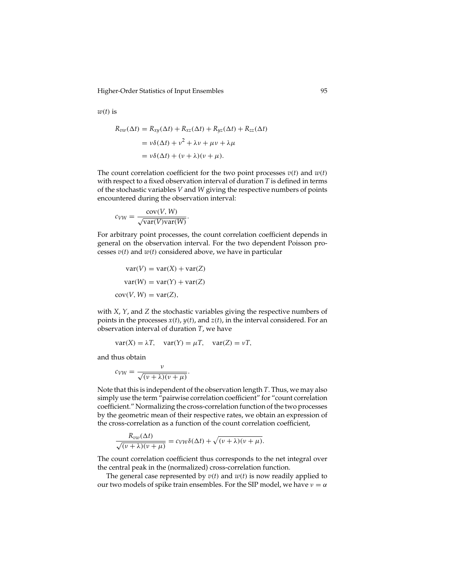Higher-Order Statistics of Input Ensembles 95

 $w(t)$  is

$$
R_{vw}(\Delta t) = R_{xy}(\Delta t) + R_{xz}(\Delta t) + R_{yz}(\Delta t) + R_{zz}(\Delta t)
$$
  
=  $v\delta(\Delta t) + v^2 + \lambda v + \mu v + \lambda \mu$   
=  $v\delta(\Delta t) + (v + \lambda)(v + \mu)$ .

The count correlation coefficient for the two point processes  $v(t)$  and  $w(t)$ with respect to a fixed observation interval of duration *T* is defined in terms of the stochastic variables *V* and *W* giving the respective numbers of points encountered during the observation interval:

$$
c_{VW} = \frac{\text{cov}(V, W)}{\sqrt{\text{var}(V)\text{var}(W)}}.
$$

For arbitrary point processes, the count correlation coefficient depends in general on the observation interval. For the two dependent Poisson processes *v*(*t*) and *w*(*t*) considered above, we have in particular

$$
var(V) = var(X) + var(Z)
$$

$$
var(W) = var(Y) + var(Z)
$$

$$
cov(V, W) = var(Z),
$$

with *X*, *Y*, and *Z* the stochastic variables giving the respective numbers of points in the processes *x*(*t*), *y*(*t*), and *z*(*t*), in the interval considered. For an observation interval of duration *T*, we have

$$
var(X) = \lambda T, var(Y) = \mu T, var(Z) = \nu T,
$$

and thus obtain

$$
c_{VW} = \frac{v}{\sqrt{(v+\lambda)(v+\mu)}}.
$$

Note that this is independent of the observation length *T*. Thus, we may also simply use the term "pairwise correlation coefficient" for "count correlation coefficient." Normalizing the cross-correlation function of the two processes by the geometric mean of their respective rates, we obtain an expression of the cross-correlation as a function of the count correlation coefficient,

$$
\frac{R_{vw}(\Delta t)}{\sqrt{(v+\lambda)(v+\mu)}}=c_{VW}\delta(\Delta t)+\sqrt{(v+\lambda)(v+\mu)}.
$$

The count correlation coefficient thus corresponds to the net integral over the central peak in the (normalized) cross-correlation function.

The general case represented by  $v(t)$  and  $w(t)$  is now readily applied to our two models of spike train ensembles. For the SIP model, we have  $v = \alpha$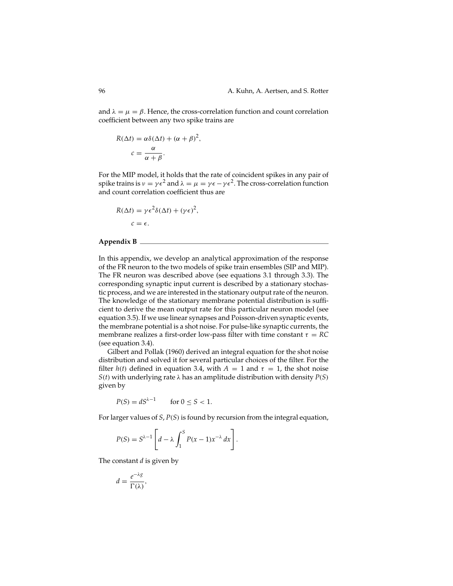and  $\lambda = \mu = \beta$ . Hence, the cross-correlation function and count correlation coefficient between any two spike trains are

$$
R(\Delta t) = \alpha \delta(\Delta t) + (\alpha + \beta)^2,
$$
  

$$
c = \frac{\alpha}{\alpha + \beta}.
$$

For the MIP model, it holds that the rate of coincident spikes in any pair of spike trains is  $v = \gamma \epsilon^2$  and  $\lambda = \mu = \gamma \epsilon - \gamma \epsilon^2$ . The cross-correlation function and count correlation coefficient thus are

$$
R(\Delta t) = \gamma \epsilon^2 \delta(\Delta t) + (\gamma \epsilon)^2,
$$
  

$$
c = \epsilon.
$$

## **Appendix B**

In this appendix, we develop an analytical approximation of the response of the FR neuron to the two models of spike train ensembles (SIP and MIP). The FR neuron was described above (see equations 3.1 through 3.3). The corresponding synaptic input current is described by a stationary stochastic process, and we are interested in the stationary output rate of the neuron. The knowledge of the stationary membrane potential distribution is sufficient to derive the mean output rate for this particular neuron model (see equation 3.5). If we use linear synapses and Poisson-driven synaptic events, the membrane potential is a shot noise. For pulse-like synaptic currents, the membrane realizes a first-order low-pass filter with time constant  $\tau = RC$ (see equation 3.4).

Gilbert and Pollak (1960) derived an integral equation for the shot noise distribution and solved it for several particular choices of the filter. For the filter  $h(t)$  defined in equation 3.4, with  $A = 1$  and  $\tau = 1$ , the shot noise *S*(*t*) with underlying rate  $\lambda$  has an amplitude distribution with density *P*(*S*) given by

$$
P(S) = dS^{\lambda - 1} \qquad \text{for } 0 \le S < 1.
$$

For larger values of *S*, *P*(*S*) is found by recursion from the integral equation,

$$
P(S) = S^{\lambda - 1} \left[ d - \lambda \int_1^S P(x - 1) x^{-\lambda} dx \right].
$$

The constant *d* is given by

$$
d=\frac{e^{-\lambda g}}{\Gamma(\lambda)},
$$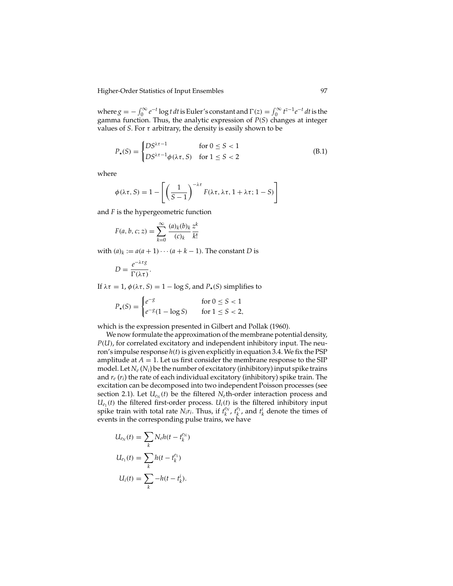Higher-Order Statistics of Input Ensembles 97

where  $g = -\int_0^\infty e^{-t} \log t \, dt$  is Euler's constant and  $\Gamma(z) = \int_0^\infty t^{z-1} e^{-t} \, dt$  is the gamma function. Thus, the analytic expression of *P*(*S*) changes at integer values of *S*. For  $\tau$  arbitrary, the density is easily shown to be

$$
P_{\star}(S) = \begin{cases} DS^{\lambda \tau - 1} & \text{for } 0 \le S < 1 \\ DS^{\lambda \tau - 1} \phi(\lambda \tau, S) & \text{for } 1 \le S < 2 \end{cases} \tag{B.1}
$$

where

$$
\phi(\lambda \tau, S) = 1 - \left[ \left( \frac{1}{S - 1} \right)^{-\lambda \tau} F(\lambda \tau, \lambda \tau, 1 + \lambda \tau; 1 - S) \right]
$$

and *F* is the hypergeometric function

$$
F(a, b, c; z) = \sum_{k=0}^{\infty} \frac{(a)_k (b)_k}{(c)_k} \frac{z^k}{k!}
$$

with  $(a)_k := a(a+1)\cdots(a+k-1)$ . The constant *D* is

$$
D = \frac{e^{-\lambda \tau g}}{\Gamma(\lambda \tau)}.
$$

If  $\lambda \tau = 1$ ,  $\phi(\lambda \tau, S) = 1 - \log S$ , and  $P_{\star}(S)$  simplifies to

$$
P_{\star}(S) = \begin{cases} e^{-g} & \text{for } 0 \le S < 1\\ e^{-g}(1 - \log S) & \text{for } 1 \le S < 2, \end{cases}
$$

which is the expression presented in Gilbert and Pollak (1960).

We now formulate the approximation of the membrane potential density, *P*(*U*), for correlated excitatory and independent inhibitory input. The neuron's impulse response  $h(t)$  is given explicitly in equation 3.4. We fix the PSP amplitude at  $A = 1$ . Let us first consider the membrane response to the SIP model. Let *Ne* (*Ni*) be the number of excitatory (inhibitory) input spike trains and *re* (*ri*) the rate of each individual excitatory (inhibitory) spike train. The excitation can be decomposed into two independent Poisson processes (see section 2.1). Let  $U_{e_N}(t)$  be the filtered  $N_e$ th-order interaction process and  $U_{e_1}(t)$  the filtered first-order process.  $U_i(t)$  is the filtered inhibitory input spike train with total rate  $N_i r_i$ . Thus, if  $t_k^{e_N}$ ,  $t_k^{e_1}$ , and  $t_k^i$  denote the times of events in the corresponding pulse trains, we have

$$
U_{e_N}(t) = \sum_k N_e h(t - t_k^{e_N})
$$
  

$$
U_{e_1}(t) = \sum_k h(t - t_k^{e_1})
$$
  

$$
U_i(t) = \sum_k -h(t - t_k^{i}).
$$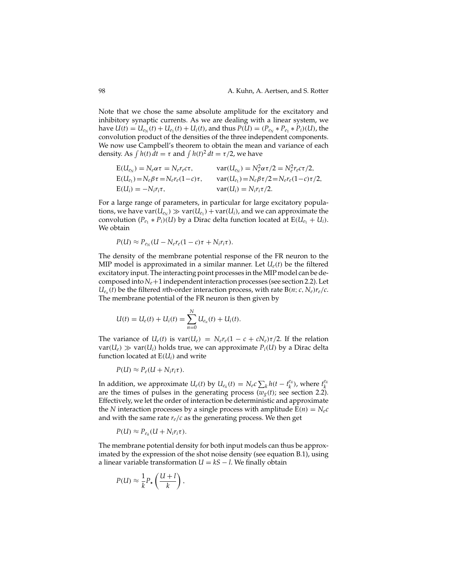Note that we chose the same absolute amplitude for the excitatory and inhibitory synaptic currents. As we are dealing with a linear system, we have  $U(t) = U_{e_N}(t) + U_{e_1}(t) + U_i(t)$ , and thus  $P(U) = (P_{e_N} * P_{e_1} * P_i)(U)$ , the convolution product of the densities of the three independent components. We now use Campbell's theorem to obtain the mean and variance of each density. As  $\int h(t) dt = \tau$  and  $\int h(t)^2 dt = \tau/2$ , we have

$$
E(U_{e_N}) = N_e \alpha \tau = N_e r_e c \tau, \qquad \text{var}(U_{e_N}) = N_e^2 \alpha \tau / 2 = N_e^2 r_e c \tau / 2,
$$
  
\n
$$
E(U_{e_1}) = N_e \beta \tau = N_e r_e (1 - c) \tau, \qquad \text{var}(U_{e_1}) = N_e \beta \tau / 2 = N_e r_e (1 - c) \tau / 2,
$$
  
\n
$$
E(U_i) = -N_i r_i \tau, \qquad \text{var}(U_i) = N_i r_i \tau / 2.
$$

For a large range of parameters, in particular for large excitatory populations, we have  $var(U_{e_N}) \gg var(U_{e_1}) + var(U_i)$ , and we can approximate the convolution  $(P_{e_1} * P_i)(U)$  by a Dirac delta function located at  $E(U_{e_1} + U_i)$ . We obtain

$$
P(U) \approx P_{e_N}(U - N_e r_e (1 - c) \tau + N_i r_i \tau).
$$

The density of the membrane potential response of the FR neuron to the MIP model is approximated in a similar manner. Let  $U_e(t)$  be the filtered excitatory input. The interacting point processes in the MIP model can be decomposed into *Ne*+1 independent interaction processes (see section 2.2). Let  $U_{e_n}(t)$  be the filtered *n*th-order interaction process, with rate  $B(n; c, N_e)r_e/c$ . The membrane potential of the FR neuron is then given by

$$
U(t) = U_e(t) + U_i(t) = \sum_{n=0}^{N} U_{e_n}(t) + U_i(t).
$$

The variance of  $U_e(t)$  is  $var(U_e) = N_e r_e (1 - c + cN_e) \tau/2$ . If the relation  $var(U_e) \gg var(U_i)$  holds true, we can approximate  $P_i(U)$  by a Dirac delta function located at  $E(U_i)$  and write

$$
P(U) \approx P_e(U + N_i r_i \tau).
$$

In addition, we approximate  $U_e(t)$  by  $U_{e_{\tilde{n}}}(t) = N_e c \sum_k h(t - t_k^{e_{\tilde{n}}})$ , where  $t_k^{e_{\tilde{n}}}$ are the times of pulses in the generating process  $(w<sub>g</sub>(t))$ ; see section 2.2). Effectively, we let the order of interaction be deterministic and approximate the *N* interaction processes by a single process with amplitude  $E(n) = N_e c$ and with the same rate  $r_e/c$  as the generating process. We then get

$$
P(U) \approx P_{e_{\bar{n}}}(U + N_i r_i \tau).
$$

The membrane potential density for both input models can thus be approximated by the expression of the shot noise density (see equation B.1), using a linear variable transformation  $U = kS - l$ . We finally obtain

$$
P(U) \approx \frac{1}{k} P_{\star} \left( \frac{U + l}{k} \right),
$$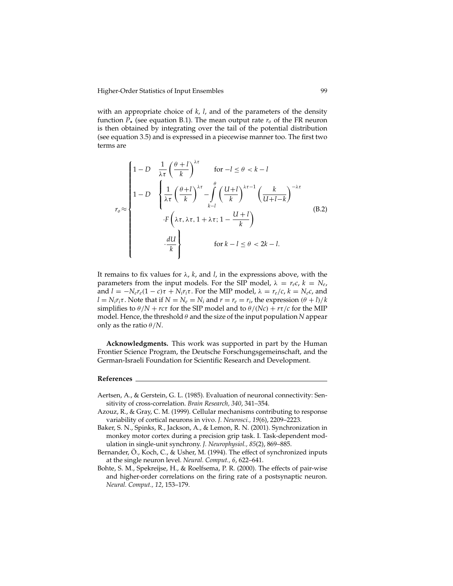with an appropriate choice of *k*, *l*, and of the parameters of the density function  $P_{\star}$  (see equation B.1). The mean output rate  $r_o$  of the FR neuron is then obtained by integrating over the tail of the potential distribution (see equation 3.5) and is expressed in a piecewise manner too. The first two terms are

$$
r_0 \approx \begin{cases} 1 - D & \frac{1}{\lambda \tau} \left(\frac{\theta + l}{k}\right)^{\lambda \tau} & \text{for } -l \le \theta < k - l \\ 1 - D & \left\{ \frac{1}{\lambda \tau} \left(\frac{\theta + l}{k}\right)^{\lambda \tau} - \int_{k-l}^{\theta} \left(\frac{U + l}{k}\right)^{\lambda \tau - 1} \left(\frac{k}{U + l - k}\right)^{-\lambda \tau} \\ & \cdot F\left(\lambda \tau, \lambda \tau, 1 + \lambda \tau; 1 - \frac{U + l}{k}\right) \\ & \cdot \frac{dU}{k} & \text{for } k - l \le \theta < 2k - l. \end{cases} \tag{B.2}
$$

It remains to fix values for  $\lambda$ ,  $k$ , and  $l$ , in the expressions above, with the parameters from the input models. For the SIP model,  $\lambda = r_e c$ ,  $k = N_e$ , and  $l = -N_e r_e (1 - c) \tau + N_i r_i \tau$ . For the MIP model,  $\lambda = r_e/c$ ,  $k = N_e c$ , and  $l = N_i r_i \tau$ . Note that if  $N = N_e = N_i$  and  $r = r_e = r_i$ , the expression  $(\theta + l)/k$ simplifies to  $\theta/N + rc\tau$  for the SIP model and to  $\theta/(Nc) + r\tau/c$  for the MIP model. Hence, the threshold θ and the size of the input population *N* appear only as the ratio  $\theta/N$ .

**Acknowledgments.** This work was supported in part by the Human Frontier Science Program, the Deutsche Forschungsgemeinschaft, and the German-Israeli Foundation for Scientific Research and Development.

## **References**

- Aertsen, A., & Gerstein, G. L. (1985). Evaluation of neuronal connectivity: Sensitivity of cross-correlation. *Brain Research, 340*, 341–354.
- Azouz, R., & Gray, C. M. (1999). Cellular mechanisms contributing to response variability of cortical neurons in vivo. *J. Neurosci., 19*(6), 2209–2223.
- Baker, S. N., Spinks, R., Jackson, A., & Lemon, R. N. (2001). Synchronization in monkey motor cortex during a precision grip task. I. Task-dependent modulation in single-unit synchrony. *J. Neurophysiol., 85*(2), 869–885.
- Bernander, Ö., Koch, C., & Usher, M. (1994). The effect of synchronized inputs at the single neuron level. *Neural. Comput., 6*, 622–641.
- Bohte, S. M., Spekreijse, H., & Roelfsema, P. R. (2000). The effects of pair-wise and higher-order correlations on the firing rate of a postsynaptic neuron. *Neural. Comput., 12*, 153–179.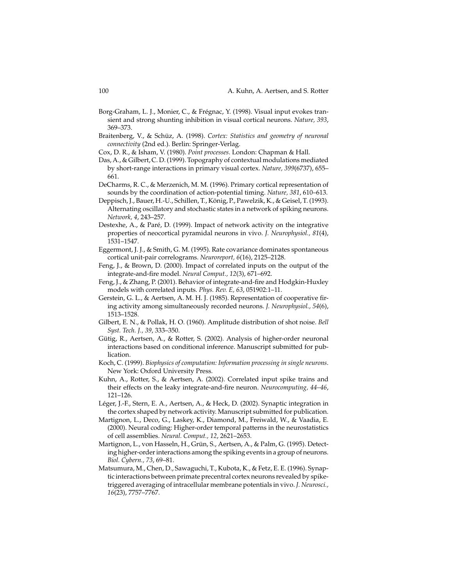- Borg-Graham, L. J., Monier, C., & Frégnac, Y. (1998). Visual input evokes transient and strong shunting inhibition in visual cortical neurons. *Nature, 393*, 369–373.
- Braitenberg, V., & Schüz, A. (1998). Cortex: Statistics and geometry of neuronal *connectivity* (2nd ed.). Berlin: Springer-Verlag.
- Cox, D. R., & Isham, V. (1980). *Point processes*. London: Chapman & Hall.
- Das, A., & Gilbert, C. D. (1999). Topography of contextual modulations mediated by short-range interactions in primary visual cortex. *Nature, 399*(6737), 655– 661.
- DeCharms, R. C., & Merzenich, M. M. (1996). Primary cortical representation of sounds by the coordination of action-potential timing. *Nature, 381*, 610–613.
- Deppisch, J., Bauer, H.-U., Schillen, T., K¨onig, P., Pawelzik, K., & Geisel, T. (1993). Alternating oscillatory and stochastic states in a network of spiking neurons. *Network, 4*, 243–257.
- Destexhe, A., & Paré, D. (1999). Impact of network activity on the integrative properties of neocortical pyramidal neurons in vivo. *J. Neurophysiol., 81*(4), 1531–1547.
- Eggermont, J. J., & Smith, G. M. (1995). Rate covariance dominates spontaneous cortical unit-pair correlograms. *Neuroreport, 6*(16), 2125–2128.
- Feng, J., & Brown, D. (2000). Impact of correlated inputs on the output of the integrate-and-fire model. *Neural Comput., 12*(3), 671–692.
- Feng, J., & Zhang, P. (2001). Behavior of integrate-and-fire and Hodgkin-Huxley models with correlated inputs. *Phys. Rev. E, 63*, 051902:1–11.
- Gerstein, G. L., & Aertsen, A. M. H. J. (1985). Representation of cooperative firing activity among simultaneously recorded neurons. *J. Neurophysiol., 54*(6), 1513–1528.
- Gilbert, E. N., & Pollak, H. O. (1960). Amplitude distribution of shot noise. *Bell Syst. Tech. J., 39*, 333–350.
- Gütig, R., Aertsen, A., & Rotter, S. (2002). Analysis of higher-order neuronal interactions based on conditional inference. Manuscript submitted for publication.
- Koch, C. (1999). *Biophysics of computation: Information processing in single neurons*. New York: Oxford University Press.
- Kuhn, A., Rotter, S., & Aertsen, A. (2002). Correlated input spike trains and their effects on the leaky integrate-and-fire neuron. *Neurocomputing, 44–46*, 121–126.
- Léger, J.-F., Stern, E. A., Aertsen, A., & Heck, D. (2002). Synaptic integration in the cortex shaped by network activity. Manuscript submitted for publication.
- Martignon, L., Deco, G., Laskey, K., Diamond, M., Freiwald, W., & Vaadia, E. (2000). Neural coding: Higher-order temporal patterns in the neurostatistics of cell assemblies. *Neural. Comput., 12*, 2621–2653.
- Martignon, L., von Hasseln, H., Grün, S., Aertsen, A., & Palm, G. (1995). Detecting higher-order interactions among the spiking events in a group of neurons. *Biol. Cybern., 73*, 69–81.
- Matsumura, M., Chen, D., Sawaguchi, T., Kubota, K., & Fetz, E. E. (1996). Synaptic interactions between primate precentral cortex neurons revealed by spiketriggered averaging of intracellular membrane potentials in vivo. *J. Neurosci., 16*(23), 7757–7767.